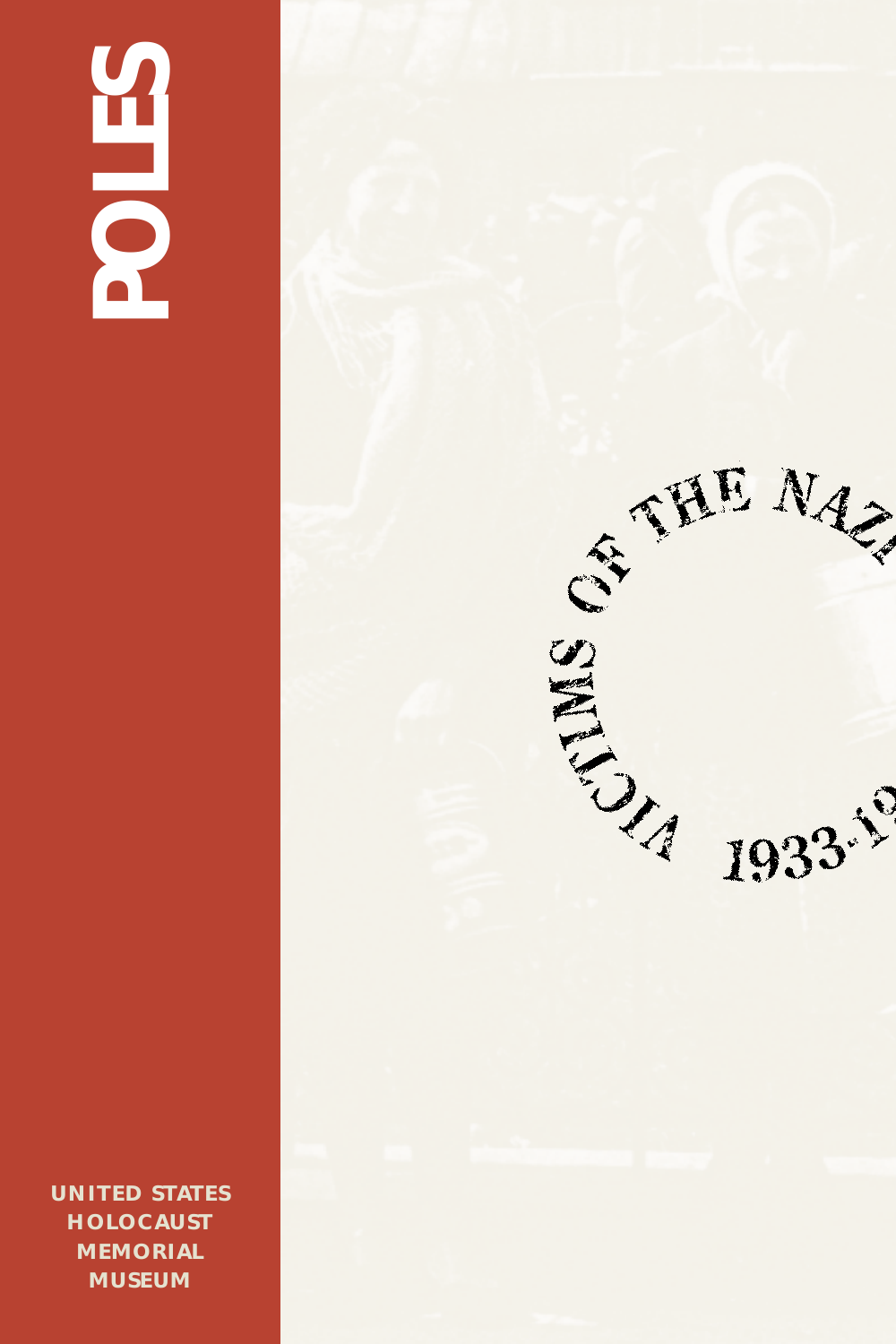# **POLES**

**UNITED STATES HOLOCAUST MEMORIAL MUSEUM**

ESTA 1933-19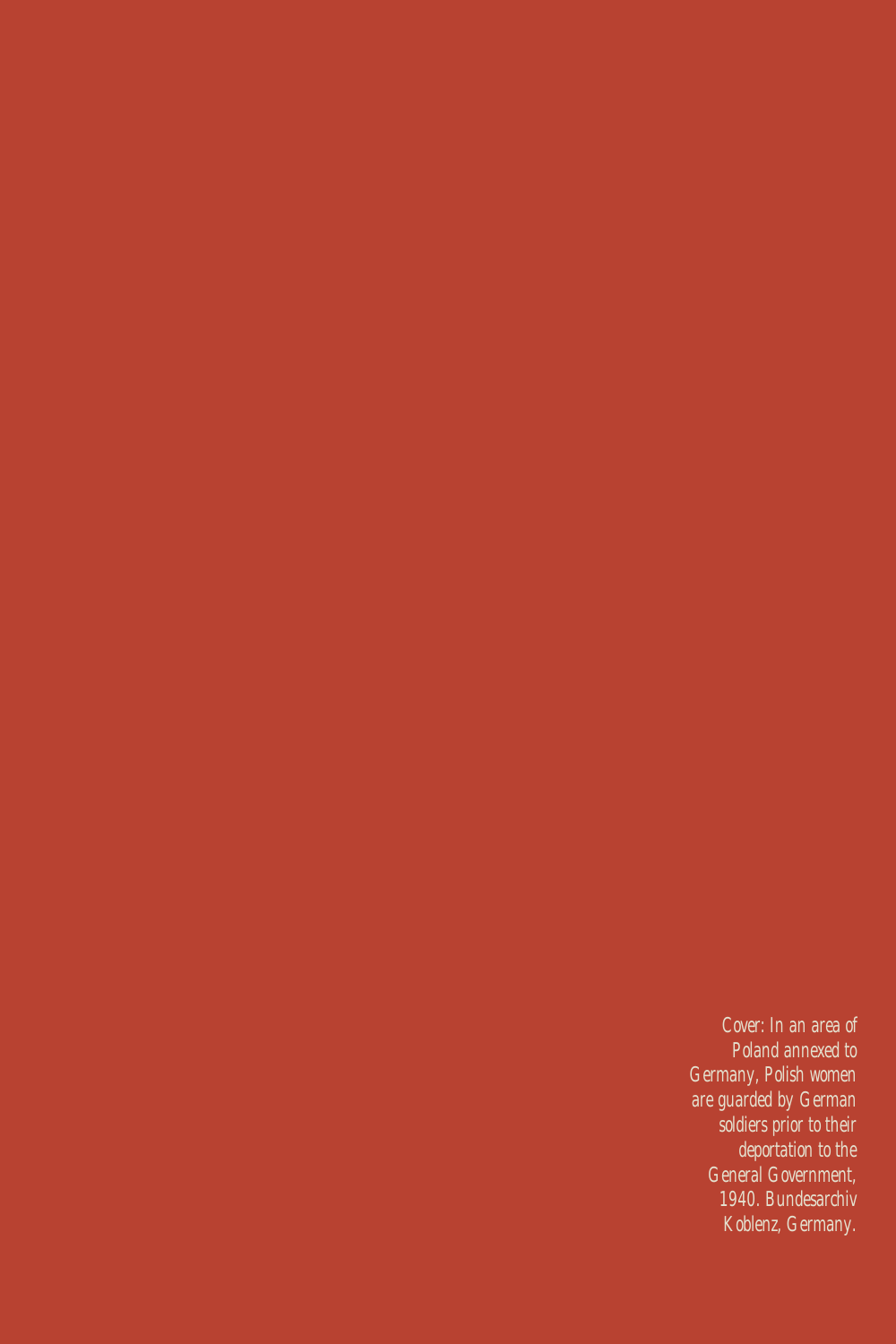*Cover: In an area of Poland annexed to Germany, Polish women are guarded by German soldiers prior to their deportation to the General Government, 1940. Bundesarchiv Koblenz, Germany.*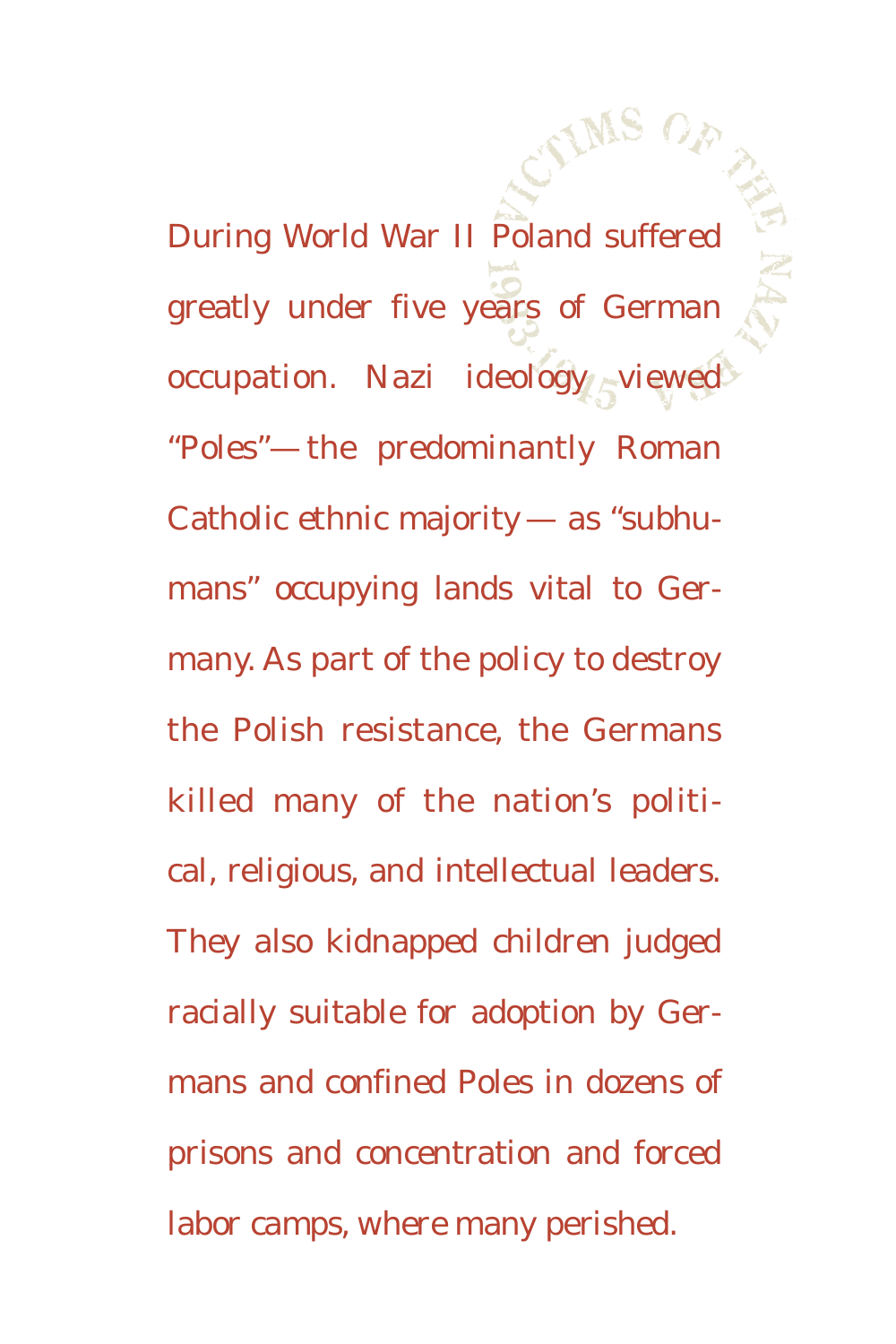During World War II Poland suffered greatly under five years of German occupation. Nazi ideology viewed "Poles"— the predominantly Roman Catholic ethnic majority — as "subhumans" occupying lands vital to Germany. As part of the policy to destroy the Polish resistance, the Germans killed many of the nation's political, religious, and intellectual leaders. They also kidnapped children judged racially suitable for adoption by Germans and confined Poles in dozens of prisons and concentration and forced labor camps, where many perished.

**IMS OF** 

AF NA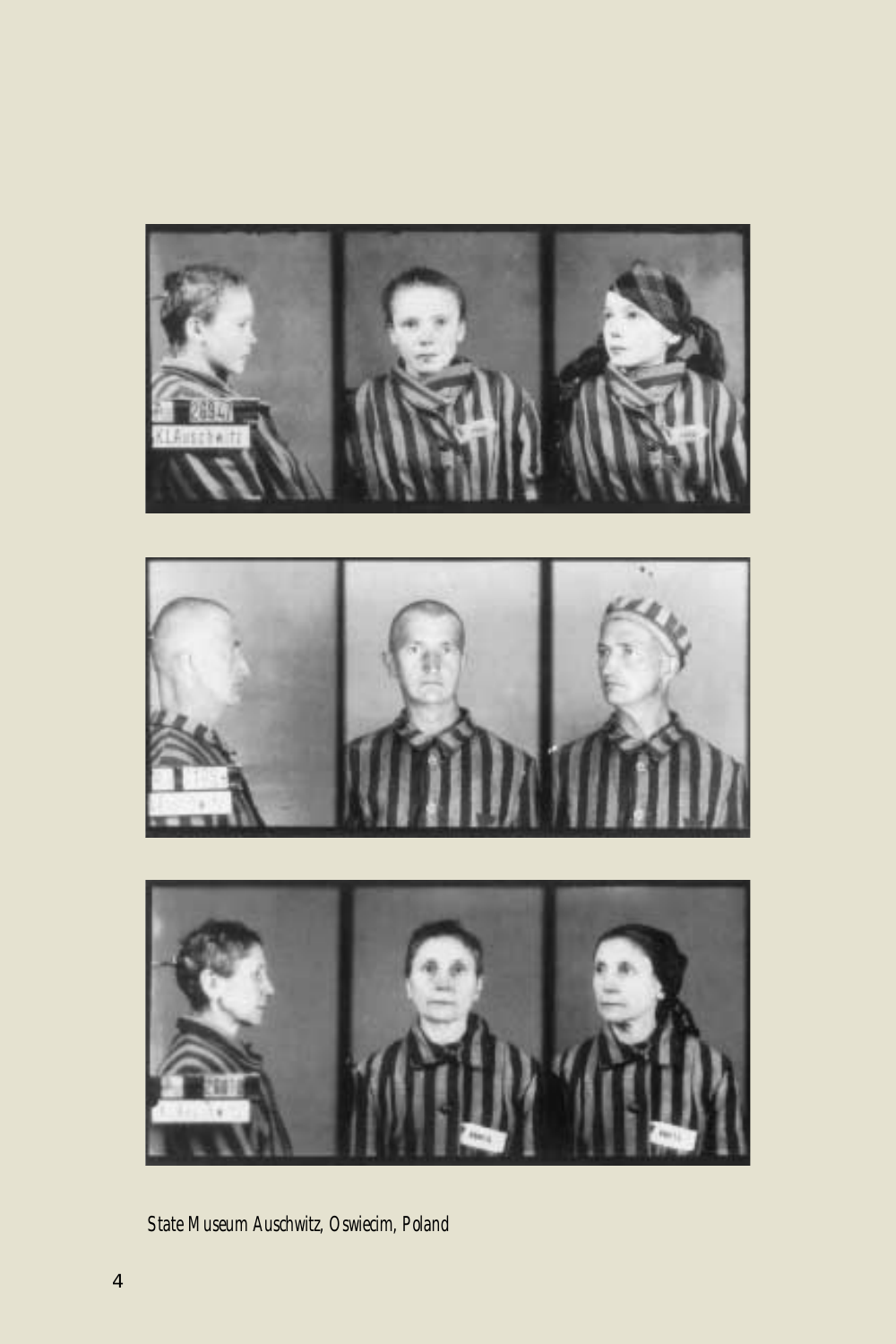

*State Museum Auschwitz, Oswiecim, Poland*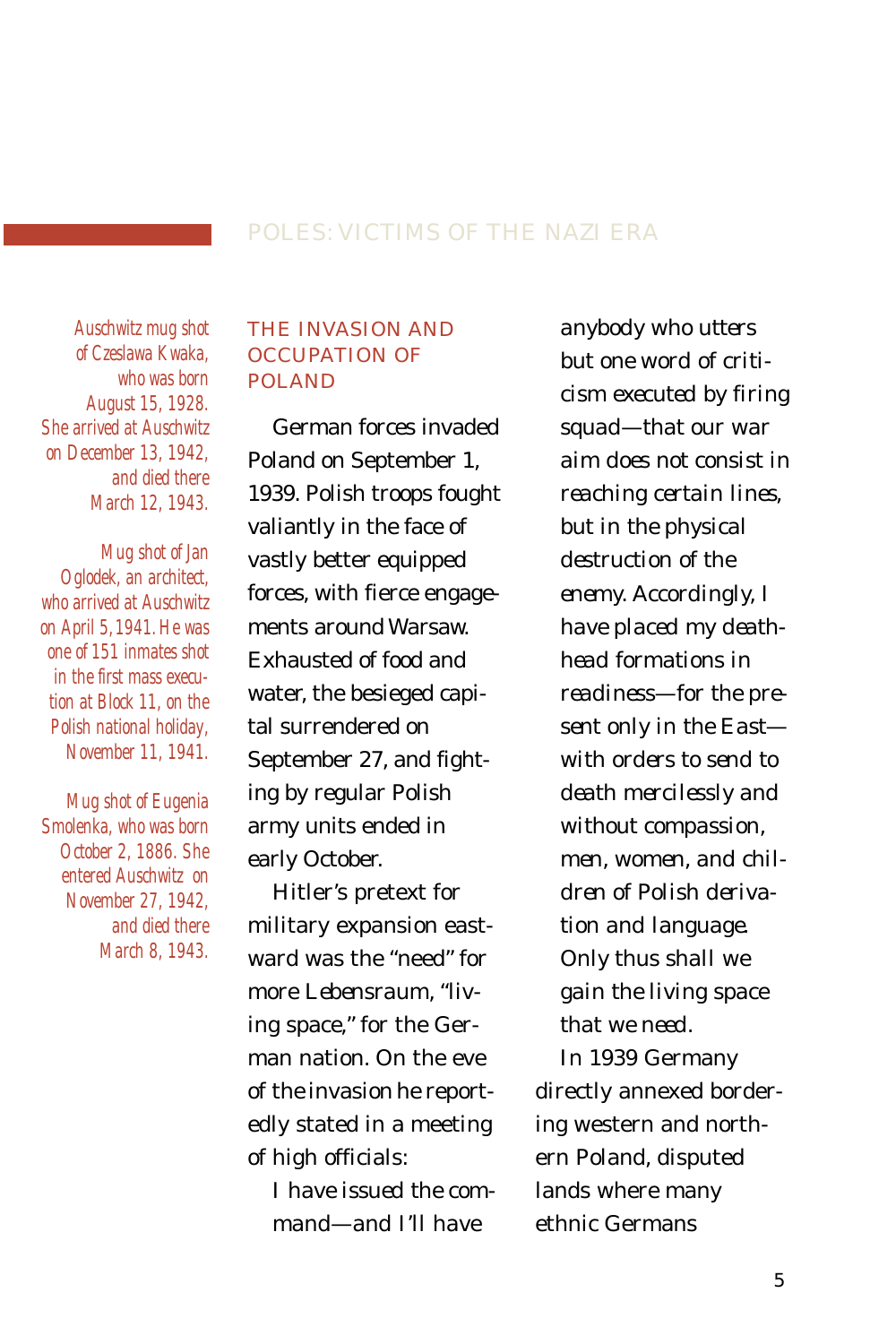### POLES: VICTIMS OF THE NAZI ERA

*Auschwitz mug shot of Czeslawa Kwaka, who was born August 15, 1928. She arrived at Auschwitz on December 13, 1942, and died there March 12, 1943.*

*Mug shot of Jan Oglodek, an architect, who arrived at Auschwitz on April 5,1941. He was one of 151 inmates shot in the first mass execution at Block 11, on the Polish national holiday, November 11, 1941.*

*Mug shot of Eugenia Smolenka, who was born October 2, 1886. She entered Auschwitz on November 27, 1942, and died there March 8, 1943.*

### THE INVASION AND OCCUPATION OF POLAND

German forces invaded Poland on September 1, 1939. Polish troops fought valiantly in the face of vastly better equipped forces, with fierce engagements around Warsaw. Exhausted of food and water, the besieged capital surrendered on September 27, and fighting by regular Polish army units ended in early October.

Hitler's pretext for military expansion eastward was the "need" for more *Lebensraum*, "living space," for the German nation. On the eve of the invasion he reportedly stated in a meeting of high officials:

> *I have issued the command—and I'll have*

*anybody who utters but one word of criticism executed by firing squad—that our war aim does not consist in reaching certain lines, but in the physical destruction of the enemy. Accordingly, I have placed my deathhead formations in readiness—for the present only in the East with orders to send to death mercilessly and without compassion, men, women, and children of Polish derivation and language. Only thus shall we gain the living space that we need.*

In 1939 Germany directly annexed bordering western and northern Poland, disputed lands where many ethnic Germans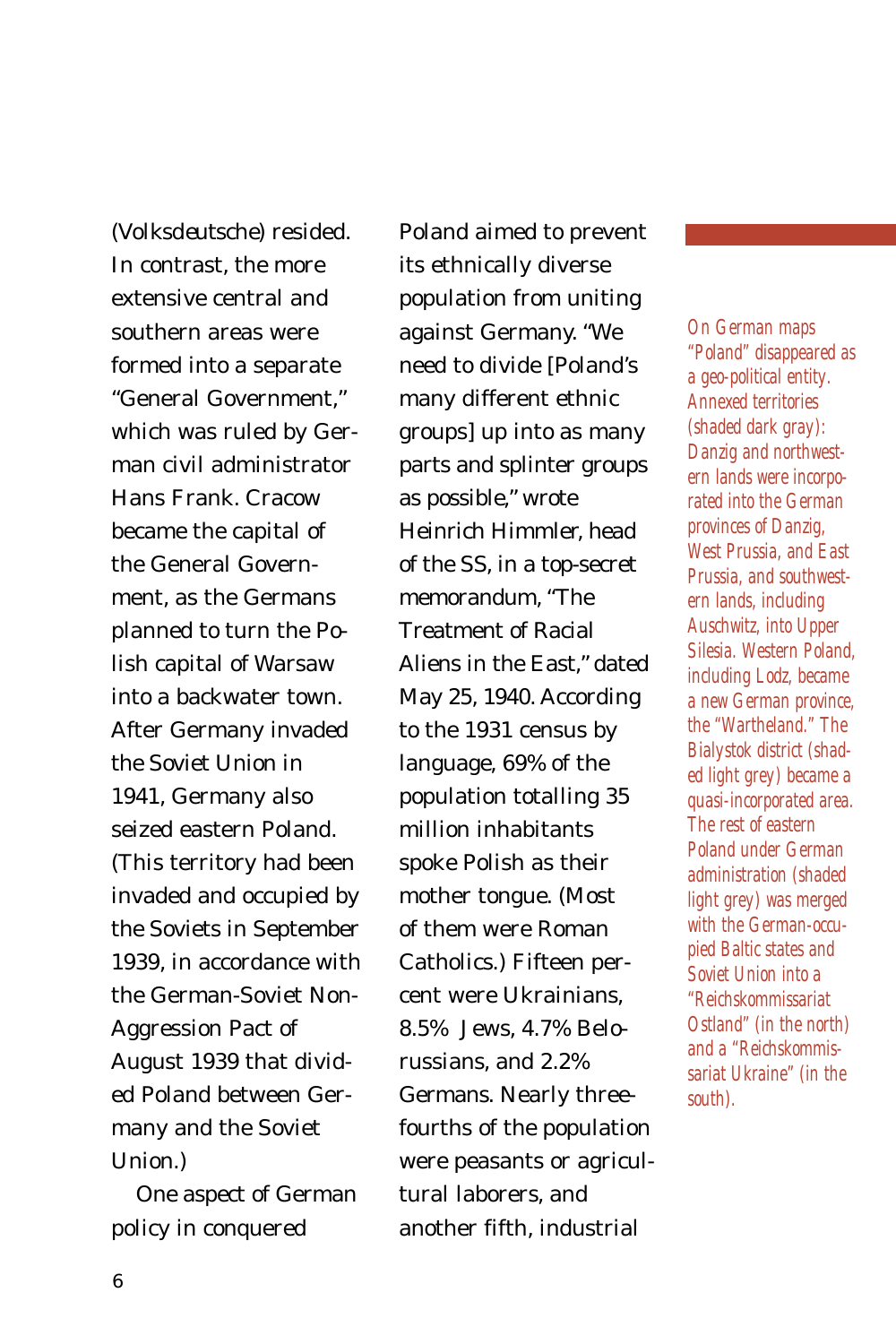(*Volksdeutsche*) resided. In contrast, the more extensive central and southern areas were formed into a separate "General Government," which was ruled by German civil administrator Hans Frank. Cracow became the capital of the General Government, as the Germans planned to turn the Polish capital of Warsaw into a backwater town. After Germany invaded the Soviet Union in 1941, Germany also seized eastern Poland. (This territory had been invaded and occupied by the Soviets in September 1939, in accordance with the German-Soviet Non-Aggression Pact of August 1939 that divided Poland between Germany and the Soviet Union.)

One aspect of German policy in conquered

Poland aimed to prevent its ethnically diverse population from uniting against Germany. "We need to divide [Poland's many different ethnic groups] up into as many parts and splinter groups as possible," wrote Heinrich Himmler, head of the SS, in a top-secret memorandum, "The Treatment of Racial Aliens in the East," dated May 25, 1940. According to the 1931 census by language, 69% of the population totalling 35 million inhabitants spoke Polish as their mother tongue. (Most of them were Roman Catholics.) Fifteen percent were Ukrainians, 8.5% Jews, 4.7% Belorussians, and 2.2% Germans. Nearly threefourths of the population were peasants or agricultural laborers, and another fifth, industrial

*On German maps "Poland" disappeared as a geo-political entity. Annexed territories (shaded dark gray): Danzig and northwestern lands were incorporated into the German provinces of Danzig, West Prussia, and East Prussia, and southwestern lands, including Auschwitz, into Upper Silesia. Western Poland, including Lodz, became a new German province, the "Wartheland." The Bialystok district (shaded light grey) became a quasi-incorporated area. The rest of eastern Poland under German administration (shaded light grey) was merged with the German-occupied Baltic states and Soviet Union into a "Reichskommissariat Ostland" (in the north) and a "Reichskommissariat Ukraine" (in the south).*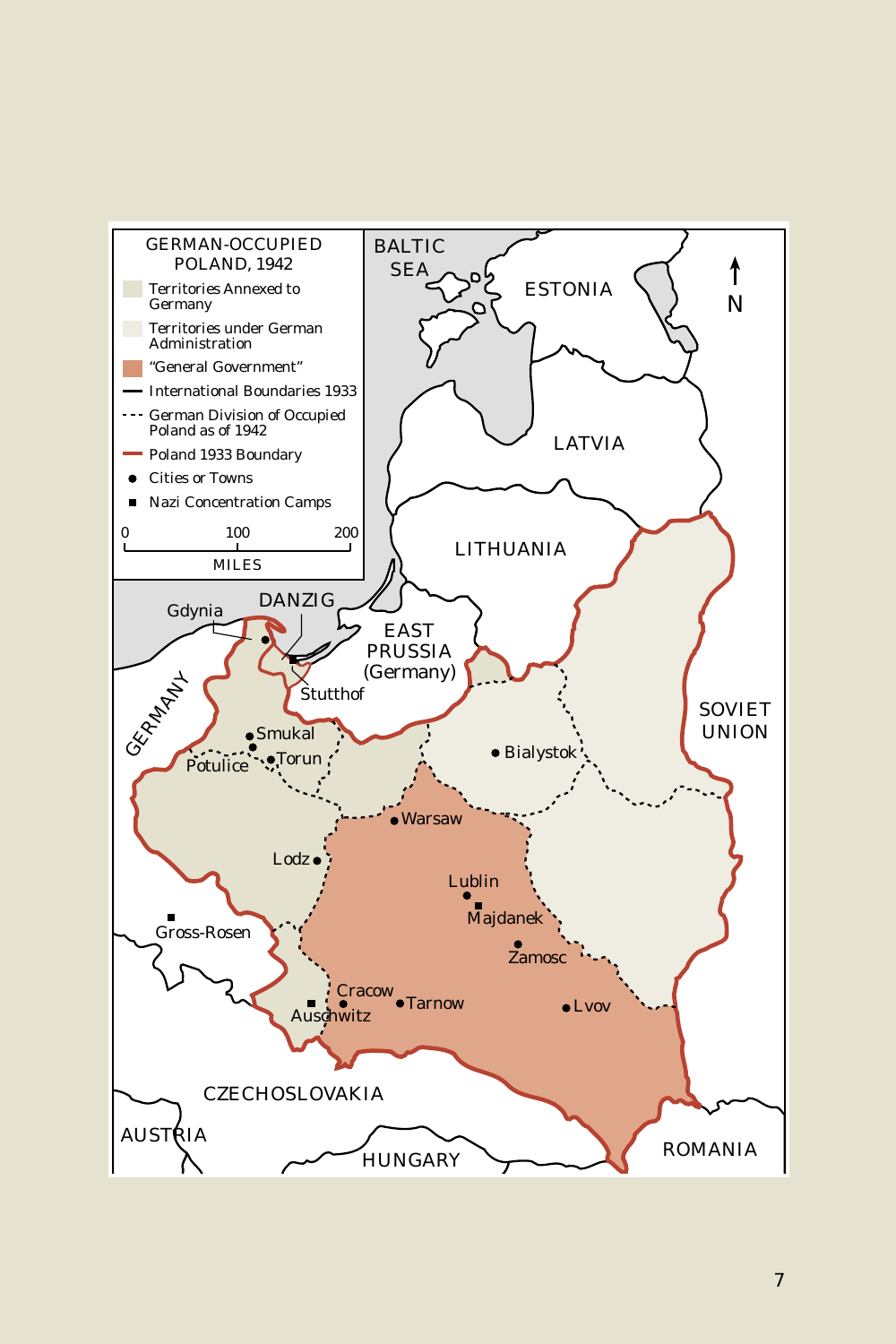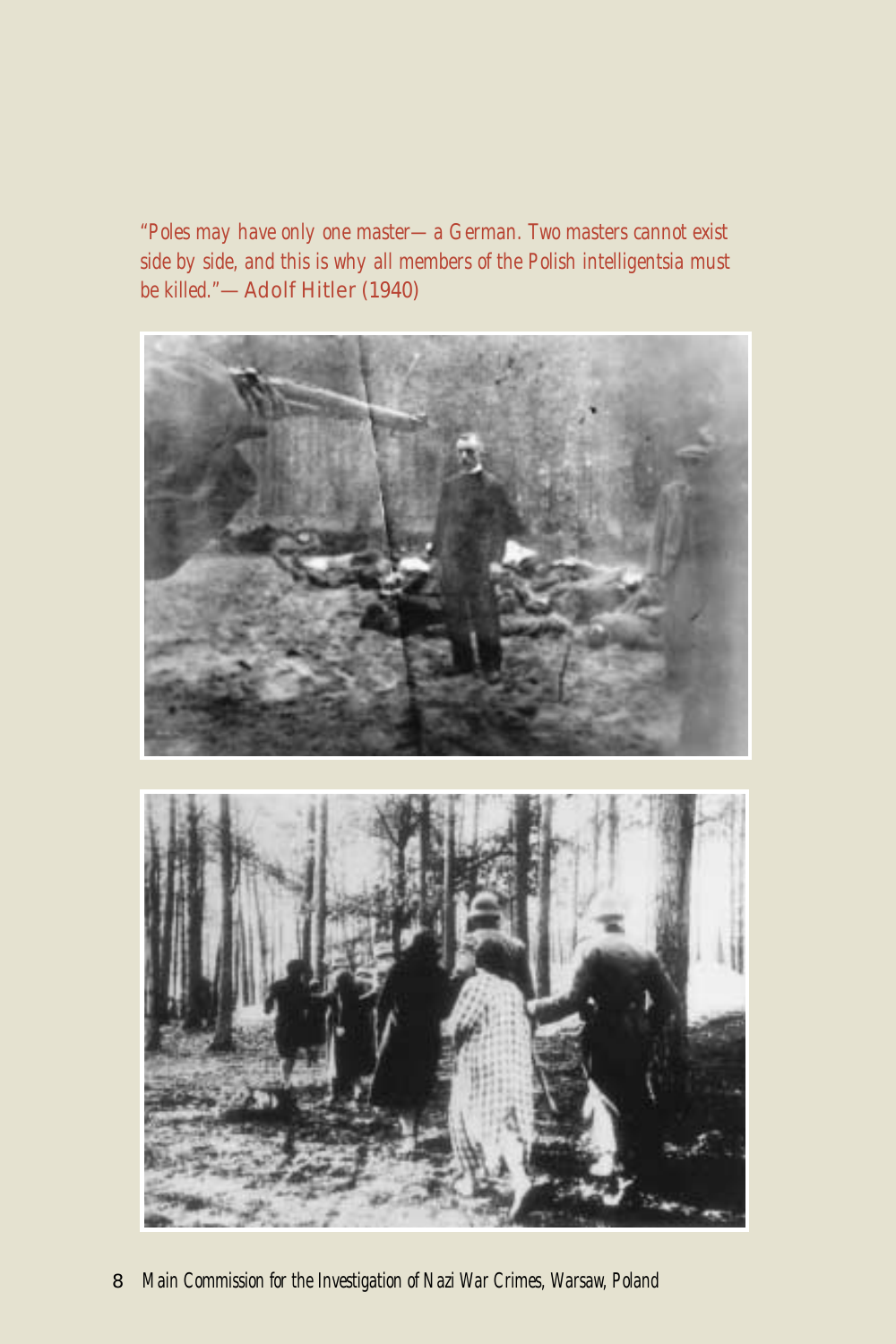*"Poles may have only one master—a German. Two masters cannot exist side by side, and this is why all members of the Polish intelligentsia must be killed."*—Adolf Hitler (1940)



8 *Main Commission for the Investigation of Nazi War Crimes, Warsaw, Poland*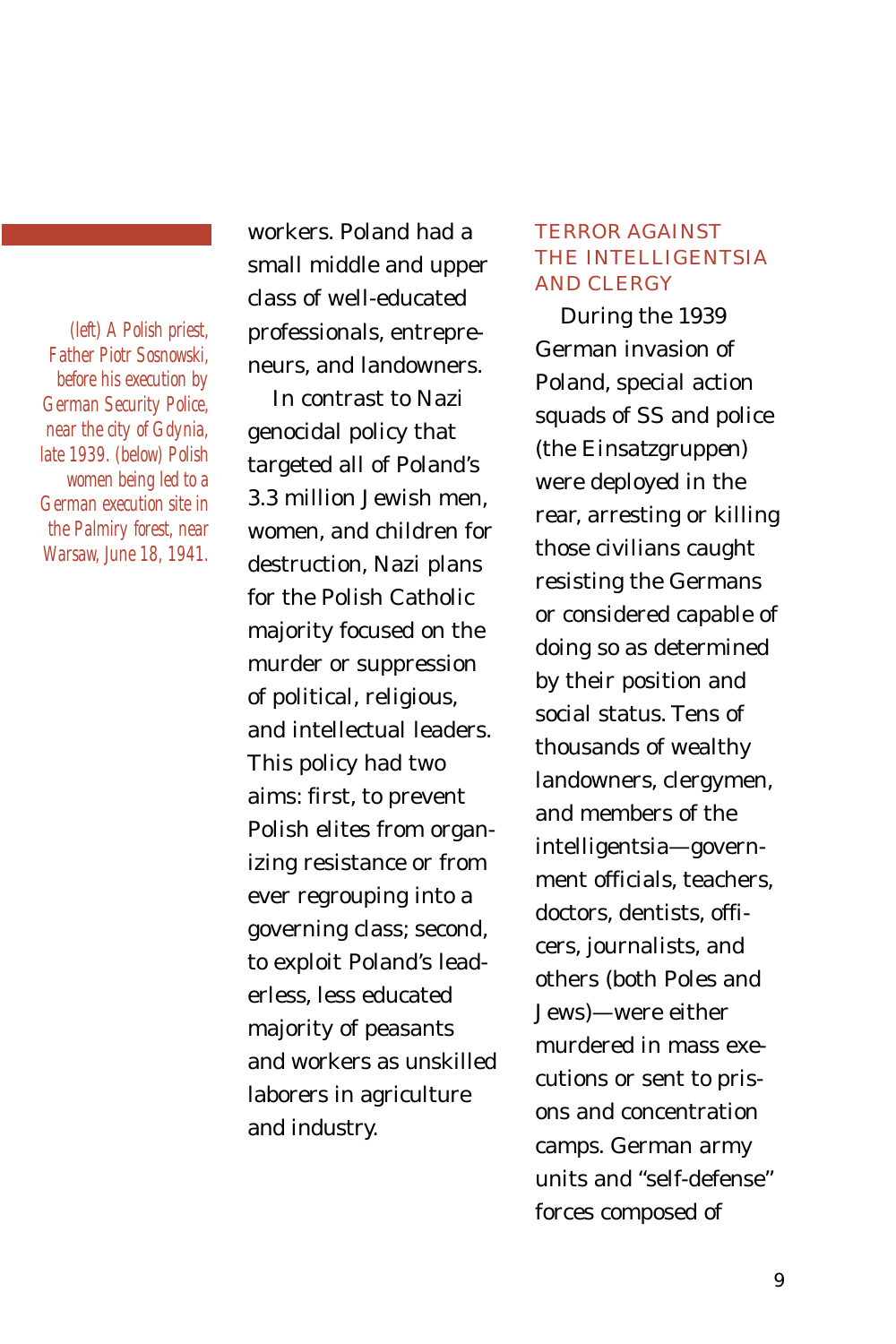*(left) A Polish priest, Father Piotr Sosnowski, before his execution by German Security Police, near the city of Gdynia, late 1939. (below) Polish women being led to a German execution site in the Palmiry forest, near Warsaw, June 18, 1941.*

workers. Poland had a small middle and upper class of well-educated professionals, entrepreneurs, and landowners.

In contrast to Nazi genocidal policy that targeted all of Poland's 3.3 million Jewish men, women, and children for destruction, Nazi plans for the Polish Catholic majority focused on the murder or suppression of political, religious, and intellectual leaders. This policy had two aims: first, to prevent Polish elites from organizing resistance or from ever regrouping into a governing class; second, to exploit Poland's leaderless, less educated majority of peasants and workers as unskilled laborers in agriculture and industry.

# TERROR AGAINST THE INTELLIGENTSIA AND CLERGY

During the 1939 German invasion of Poland, special action squads of SS and police (the *Einsatzgruppen*) were deployed in the rear, arresting or killing those civilians caught resisting the Germans or considered capable of doing so as determined by their position and social status. Tens of thousands of wealthy landowners, clergymen, and members of the intelligentsia—government officials, teachers, doctors, dentists, officers, journalists, and others (both Poles and Jews)—were either murdered in mass executions or sent to prisons and concentration camps. German army units and "self-defense" forces composed of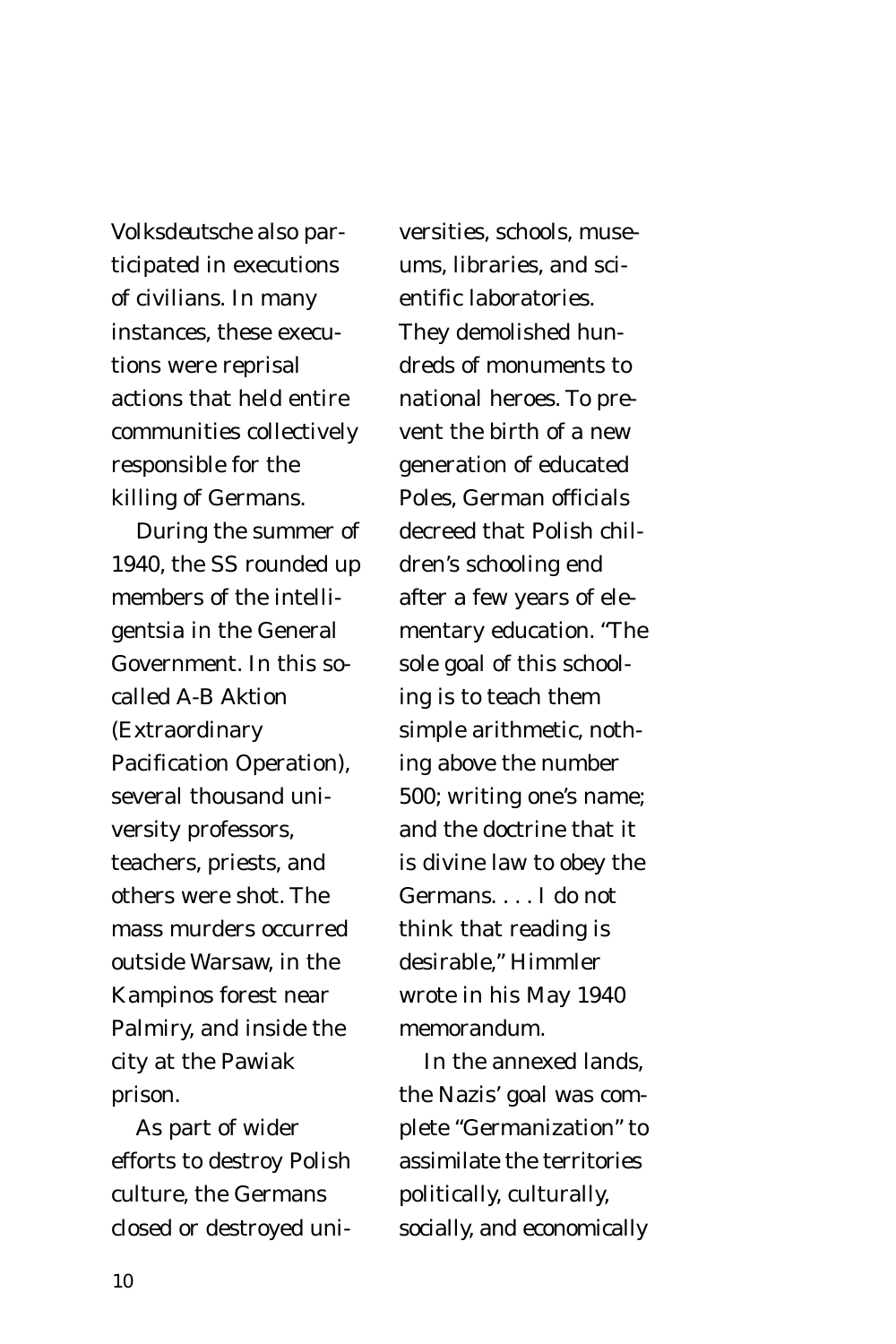*Volksdeutsche* also participated in executions of civilians. In many instances, these executions were reprisal actions that held entire communities collectively responsible for the killing of Germans.

During the summer of 1940, the SS rounded up members of the intelligentsia in the General Government. In this socalled *A-B Aktion* (Extraordinary Pacification Operation), several thousand university professors, teachers, priests, and others were shot. The mass murders occurred outside Warsaw, in the Kampinos forest near Palmiry, and inside the city at the Pawiak prison.

As part of wider efforts to destroy Polish culture, the Germans closed or destroyed uni-

versities, schools, museums, libraries, and scientific laboratories. They demolished hundreds of monuments to national heroes. To prevent the birth of a new generation of educated Poles, German officials decreed that Polish children's schooling end after a few years of elementary education. "The sole goal of this schooling is to teach them simple arithmetic, nothing above the number 500; writing one's name; and the doctrine that it is divine law to obey the Germans. . . . I do not think that reading is desirable," Himmler wrote in his May 1940 memorandum.

In the annexed lands, the Nazis' goal was complete "Germanization" to assimilate the territories politically, culturally, socially, and economically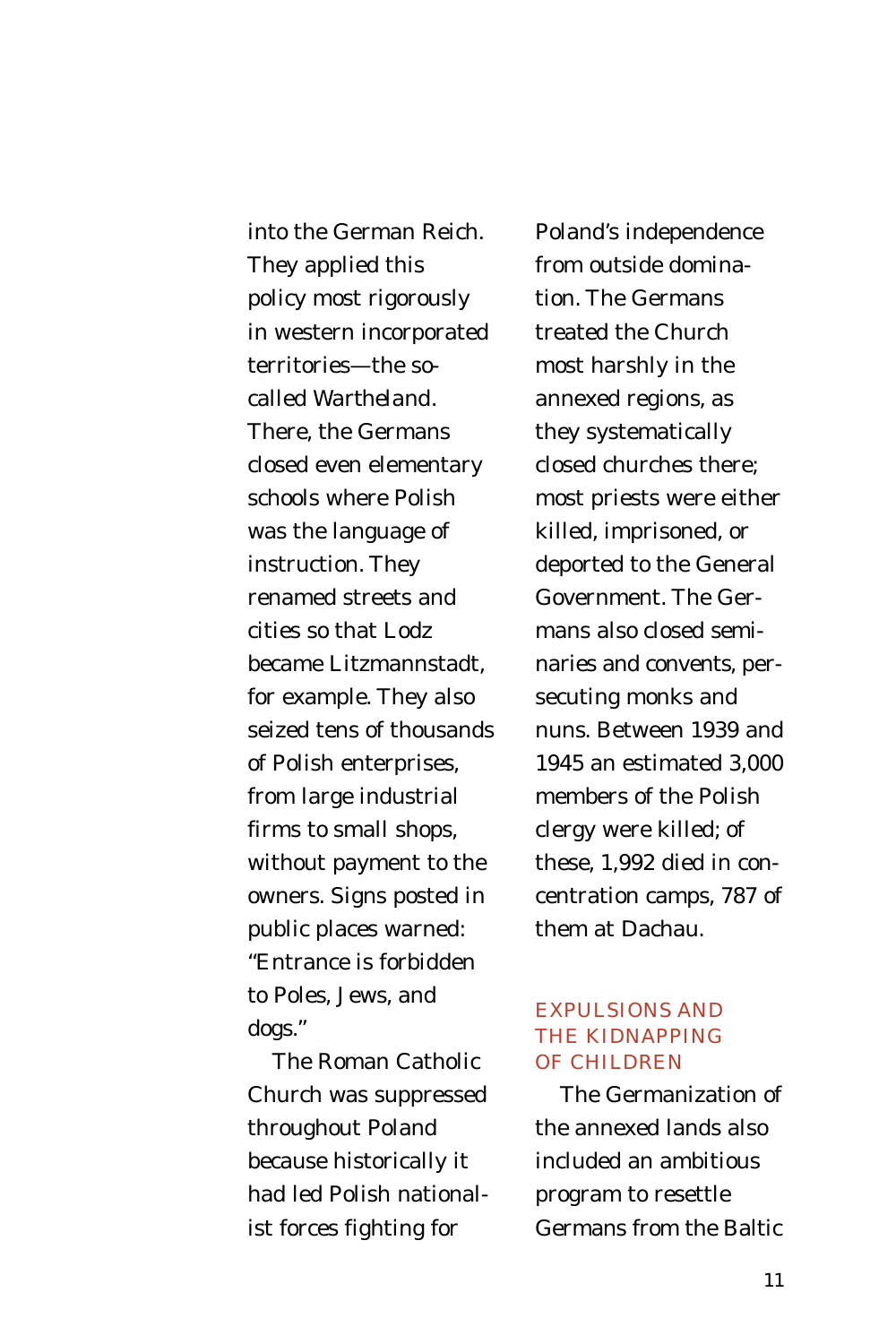into the German Reich. They applied this policy most rigorously in western incorporated territories—the socalled *Wartheland.* There, the Germans closed even elementary schools where Polish was the language of instruction. They renamed streets and cities so that Lodz became Litzmannstadt, for example. They also seized tens of thousands of Polish enterprises, from large industrial firms to small shops, without payment to the owners. Signs posted in public places warned: "Entrance is forbidden to Poles, Jews, and dogs."

The Roman Catholic Church was suppressed throughout Poland because historically it had led Polish nationalist forces fighting for

Poland's independence from outside domination. The Germans treated the Church most harshly in the annexed regions, as they systematically closed churches there; most priests were either killed, imprisoned, or deported to the General Government. The Germans also closed seminaries and convents, persecuting monks and nuns. Between 1939 and 1945 an estimated 3,000 members of the Polish clergy were killed; of these, 1,992 died in concentration camps, 787 of them at Dachau.

# EXPULSIONS AND THE KIDNAPPING OF CHILDREN

The Germanization of the annexed lands also included an ambitious program to resettle Germans from the Baltic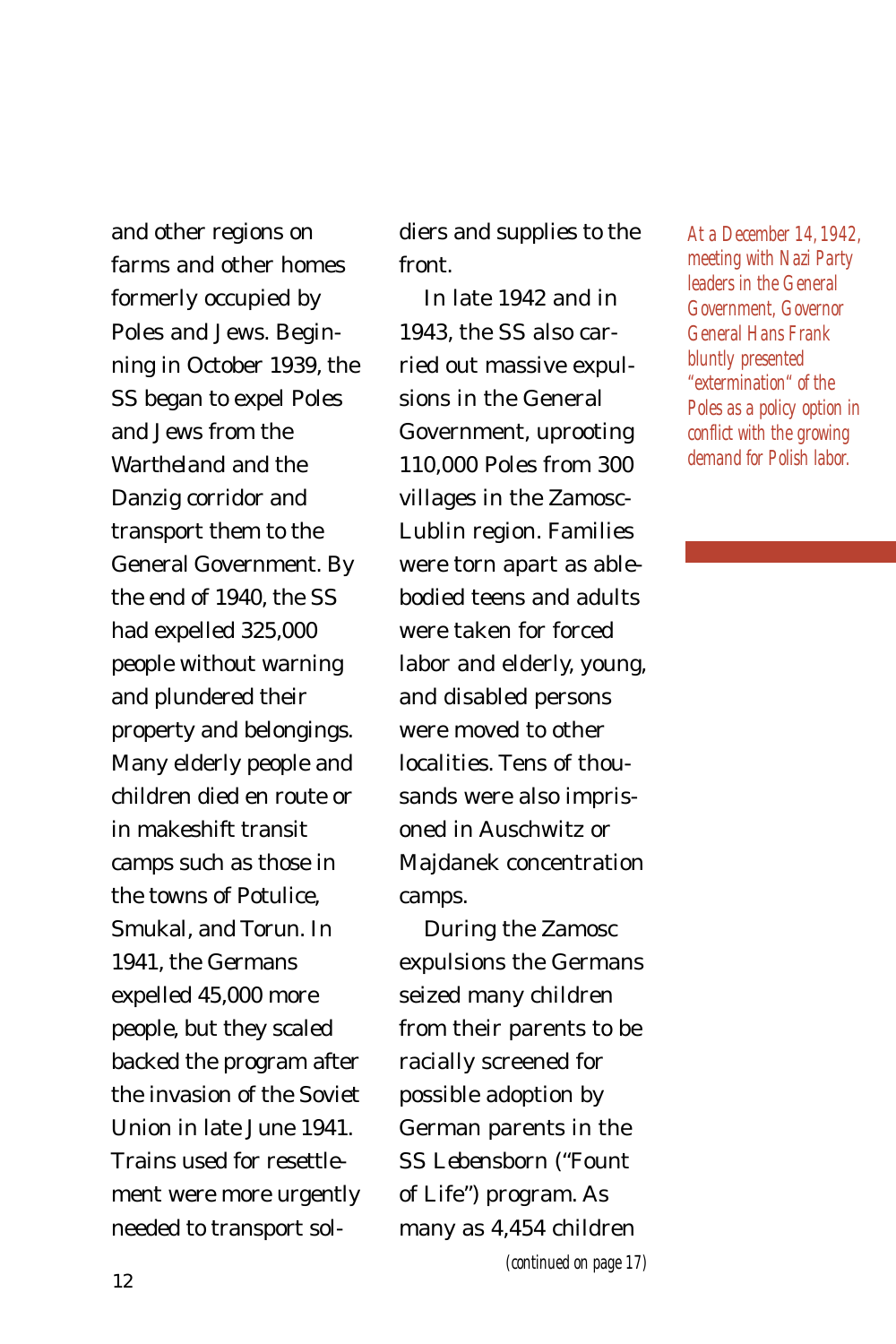and other regions on farms and other homes formerly occupied by Poles and Jews. Beginning in October 1939, the SS began to expel Poles and Jews from the *Wartheland* and the Danzig corridor and transport them to the General Government. By the end of 1940, the SS had expelled 325,000 people without warning and plundered their property and belongings. Many elderly people and children died en route or in makeshift transit camps such as those in the towns of Potulice, Smukal, and Torun. In 1941, the Germans expelled 45,000 more people, but they scaled backed the program after the invasion of the Soviet Union in late June 1941. Trains used for resettlement were more urgently needed to transport soldiers and supplies to the front.

In late 1942 and in 1943, the SS also carried out massive expulsions in the General Government, uprooting 110,000 Poles from 300 villages in the Zamosc-Lublin region. Families were torn apart as ablebodied teens and adults were taken for forced labor and elderly, young, and disabled persons were moved to other localities. Tens of thousands were also imprisoned in Auschwitz or Majdanek concentration camps.

During the Zamosc expulsions the Germans seized many children from their parents to be racially screened for possible adoption by German parents in the SS *Lebensborn* ("Fount of Life") program. As many as 4,454 children

*At a December 14, 1942, meeting with Nazi Party leaders in the General Government, Governor General Hans Frank bluntly presented "extermination" of the Poles as a policy option in conflict with the growing demand for Polish labor.*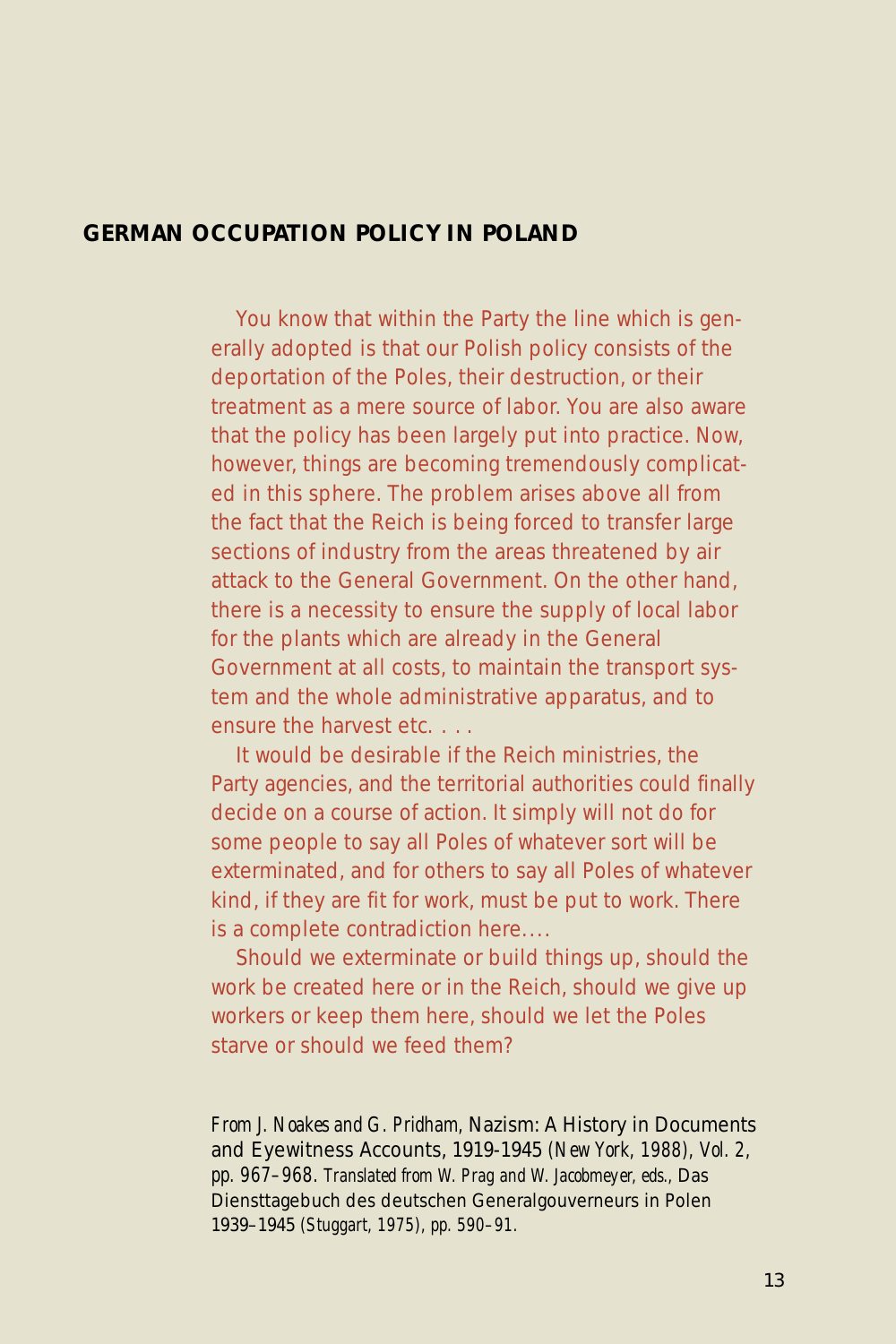# **GERMAN OCCUPATION POLICY IN POLAND**

You know that within the Party the line which is generally adopted is that our Polish policy consists of the deportation of the Poles, their destruction, or their treatment as a mere source of labor. You are also aware that the policy has been largely put into practice. Now, however, things are becoming tremendously complicated in this sphere. The problem arises above all from the fact that the Reich is being forced to transfer large sections of industry from the areas threatened by air attack to the General Government. On the other hand, there is a necessity to ensure the supply of local labor for the plants which are already in the General Government at all costs, to maintain the transport system and the whole administrative apparatus, and to ensure the harvest etc. . . .

It would be desirable if the Reich ministries, the Party agencies, and the territorial authorities could finally decide on a course of action. It simply will not do for some people to say all Poles of whatever sort will be exterminated, and for others to say all Poles of whatever kind, if they are fit for work, must be put to work. There is a complete contradiction here....

Should we exterminate or build things up, should the work be created here or in the Reich, should we give up workers or keep them here, should we let the Poles starve or should we feed them?

*From J. Noakes and G. Pridham,* Nazism: A History in Documents and Eyewitness Accounts, 1919-1945 *(New York, 1988), Vol. 2, pp. 967–968. Translated from W. Prag and W. Jacobmeyer, eds.,* Das Diensttagebuch des deutschen Generalgouverneurs in Polen 1939–1945 *(Stuggart, 1975), pp. 590–91.*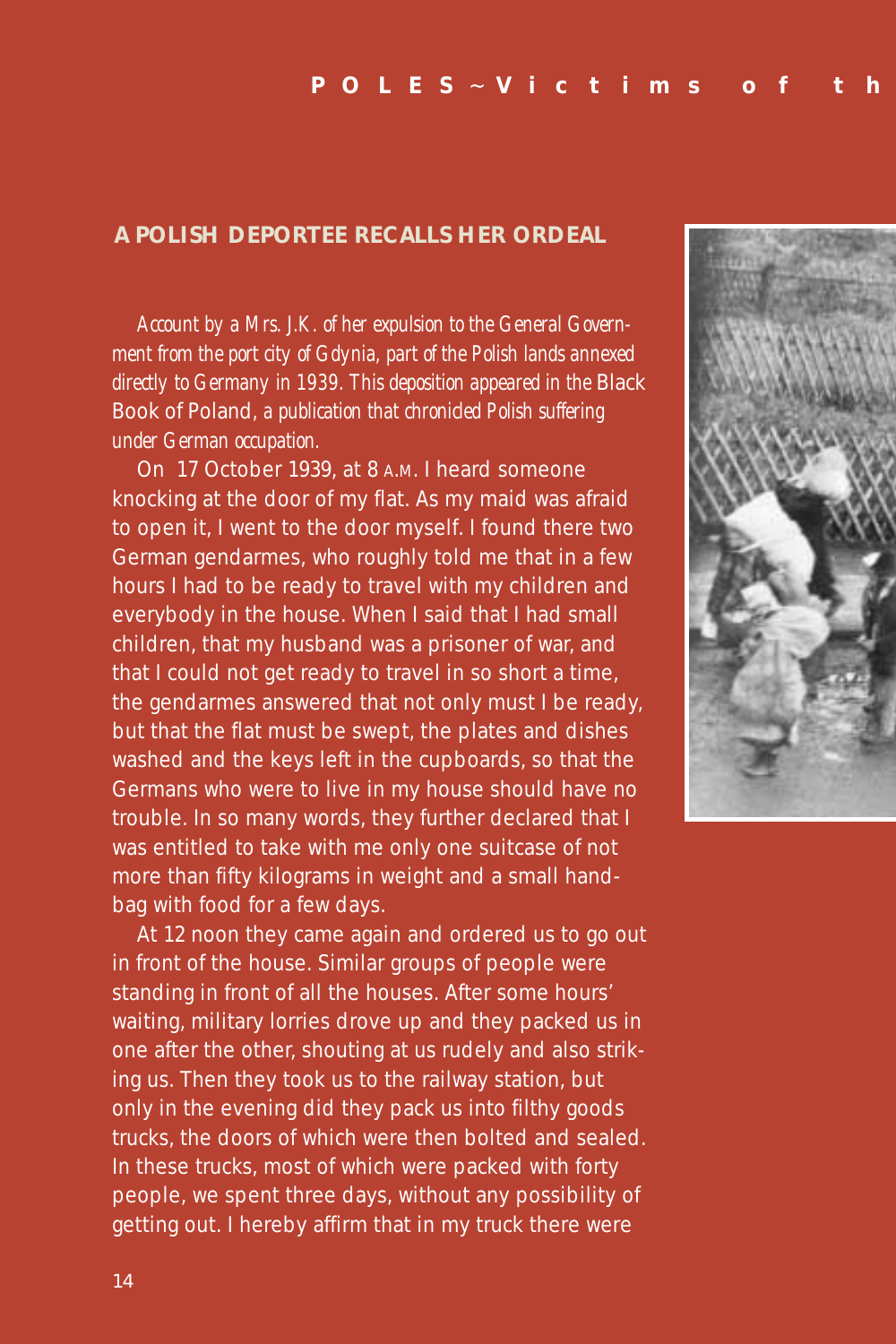### **A POLISH DEPORTEE RECALLS HER ORDEAL**

*Account by a Mrs. J.K. of her expulsion to the General Government from the port city of Gdynia, part of the Polish lands annexed directly to Germany in 1939. This deposition appeared in the* Black Book of Poland*, a publication that chronicled Polish suffering under German occupation.*

On 17 October 1939, at 8 A.M. I heard someone knocking at the door of my flat. As my maid was afraid to open it, I went to the door myself. I found there two German gendarmes, who roughly told me that in a few hours I had to be ready to travel with my children and everybody in the house. When I said that I had small children, that my husband was a prisoner of war, and that I could not get ready to travel in so short a time, the gendarmes answered that not only must I be ready, but that the flat must be swept, the plates and dishes washed and the keys left in the cupboards, so that the Germans who were to live in my house should have no trouble. In so many words, they further declared that I was entitled to take with me only one suitcase of not more than fifty kilograms in weight and a small handbag with food for a few days.

At 12 noon they came again and ordered us to go out in front of the house. Similar groups of people were standing in front of all the houses. After some hours' waiting, military lorries drove up and they packed us in one after the other, shouting at us rudely and also striking us. Then they took us to the railway station, but only in the evening did they pack us into filthy goods trucks, the doors of which were then bolted and sealed. In these trucks, most of which were packed with forty people, we spent three days, without any possibility of getting out. I hereby affirm that in my truck there were

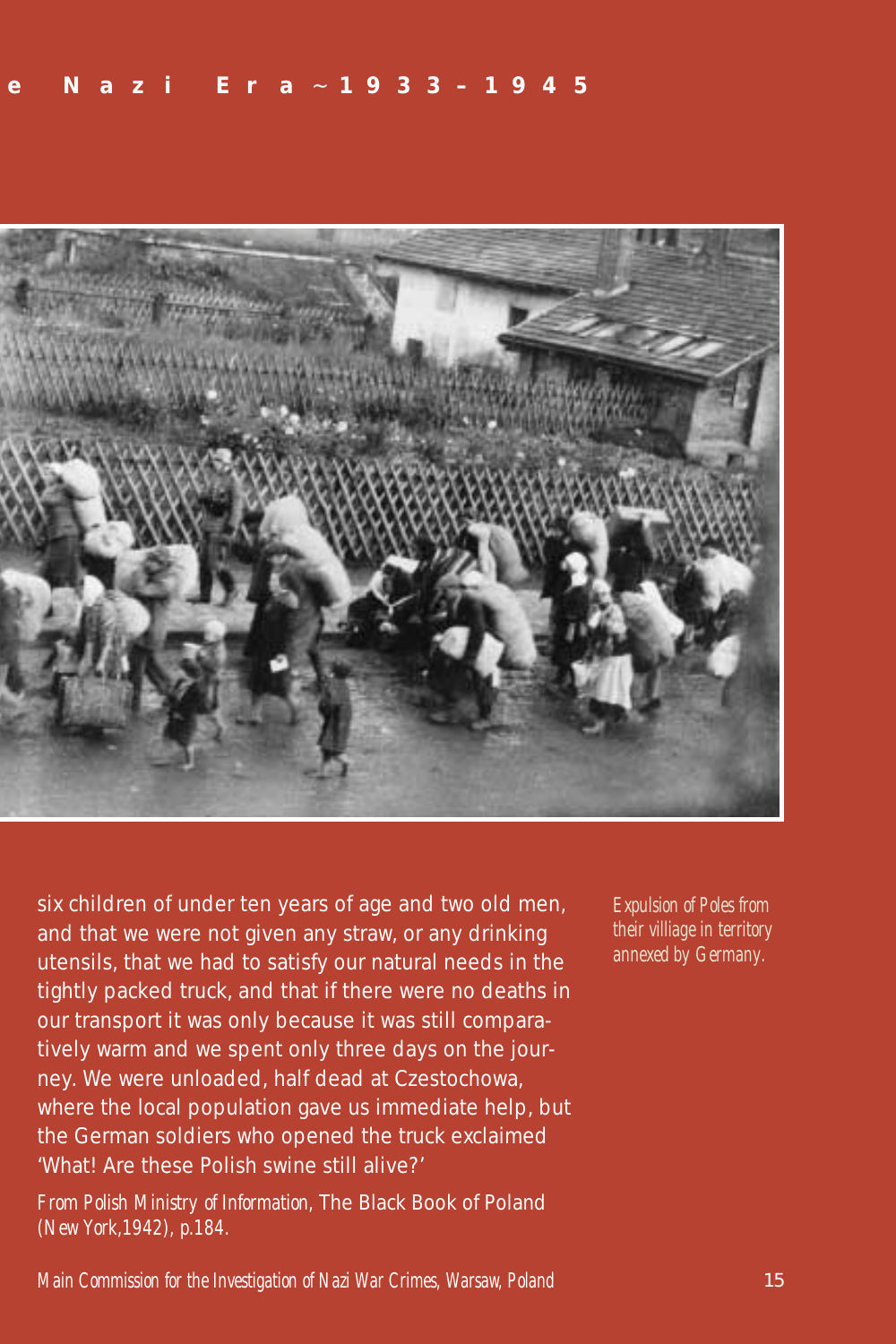

six children of under ten years of age and two old men, and that we were not given any straw, or any drinking utensils, that we had to satisfy our natural needs in the tightly packed truck, and that if there were no deaths in our transport it was only because it was still comparatively warm and we spent only three days on the journey. We were unloaded, half dead at Czestochowa, where the local population gave us immediate help, but the German soldiers who opened the truck exclaimed 'What! Are these Polish swine still alive?'

*From Polish Ministry of Information,* The Black Book of Poland *(New York,1942), p.184.*

*Expulsion of Poles from their villiage in territory annexed by Germany.*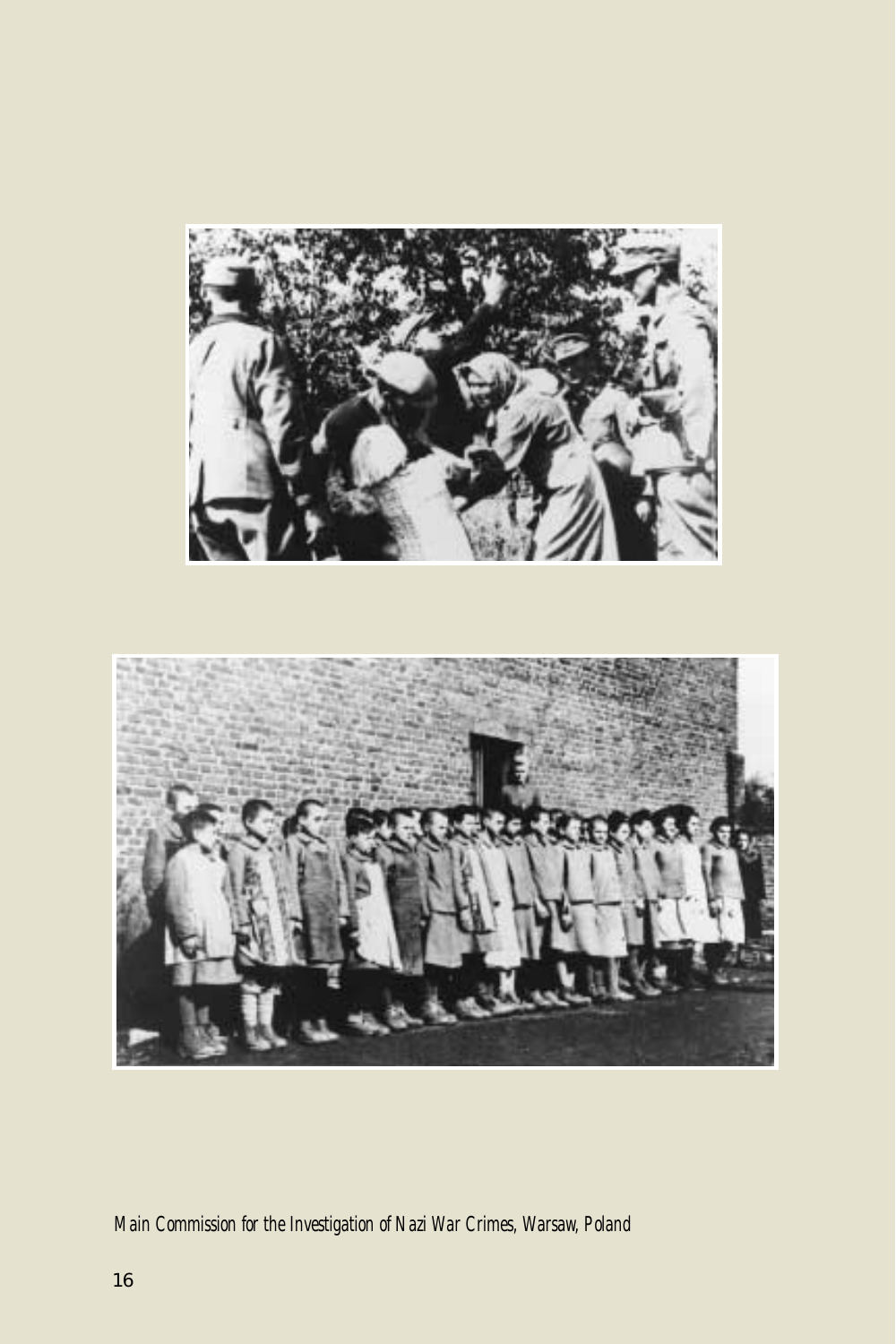

# *Main Commission for the Investigation of Nazi War Crimes, Warsaw, Poland*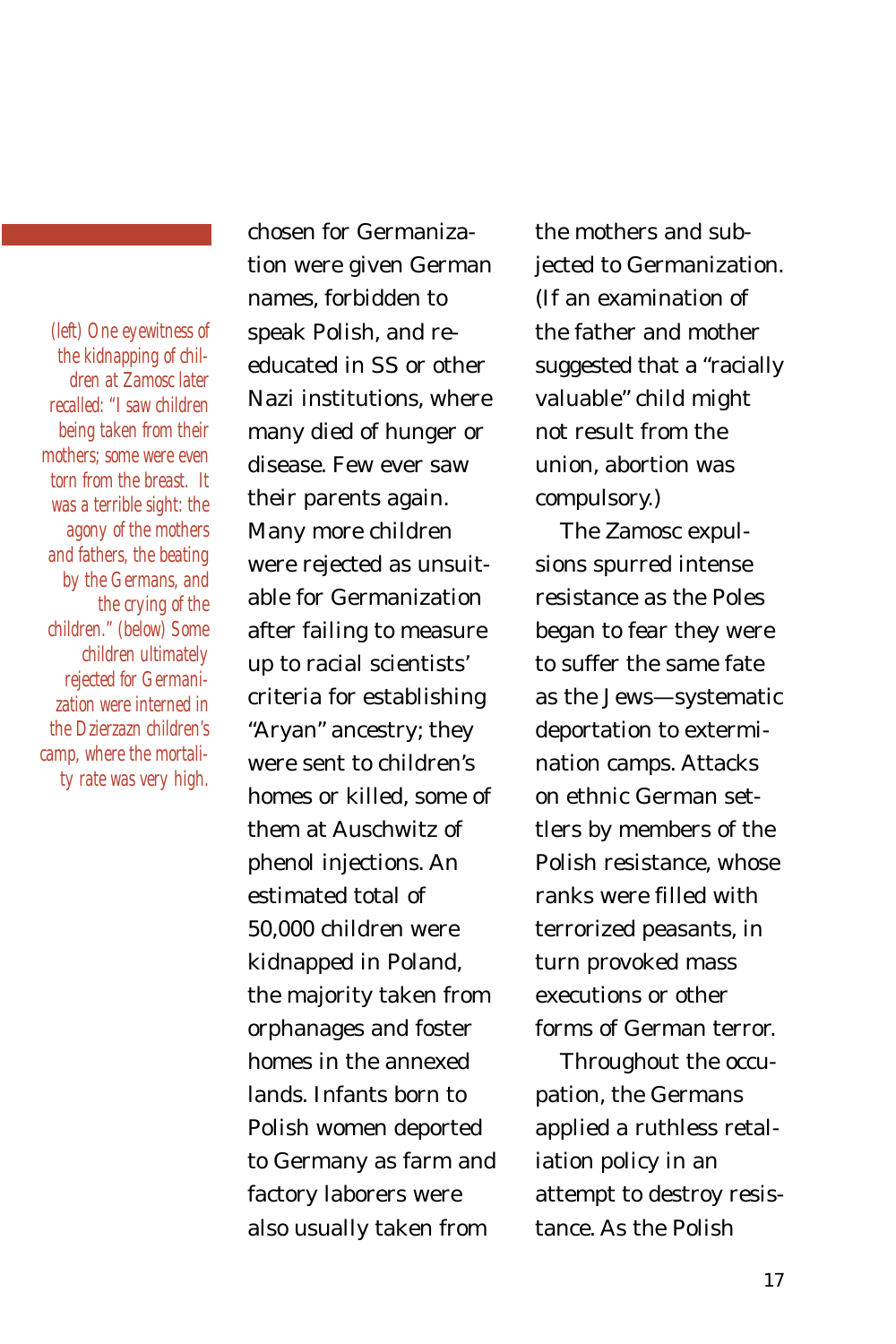*(left) One eyewitness of the kidnapping of children at Zamosc later recalled: "I saw children being taken from their mothers; some were even torn from the breast. It was a terrible sight: the agony of the mothers and fathers, the beating by the Germans, and the crying of the children." (below) Some children ultimately rejected for Germanization were interned in the Dzierzazn children's camp, where the mortality rate was very high.*

chosen for Germanization were given German names, forbidden to speak Polish, and reeducated in SS or other Nazi institutions, where many died of hunger or disease. Few ever saw their parents again. Many more children were rejected as unsuitable for Germanization after failing to measure up to racial scientists' criteria for establishing "Aryan" ancestry; they were sent to children's homes or killed, some of them at Auschwitz of phenol injections. An estimated total of 50,000 children were kidnapped in Poland, the majority taken from orphanages and foster homes in the annexed lands. Infants born to Polish women deported to Germany as farm and factory laborers were also usually taken from

the mothers and subjected to Germanization. (If an examination of the father and mother suggested that a "racially valuable" child might not result from the union, abortion was compulsory.)

The Zamosc expulsions spurred intense resistance as the Poles began to fear they were to suffer the same fate as the Jews—systematic deportation to extermination camps. Attacks on ethnic German settlers by members of the Polish resistance, whose ranks were filled with terrorized peasants, in turn provoked mass executions or other forms of German terror.

Throughout the occupation, the Germans applied a ruthless retaliation policy in an attempt to destroy resistance. As the Polish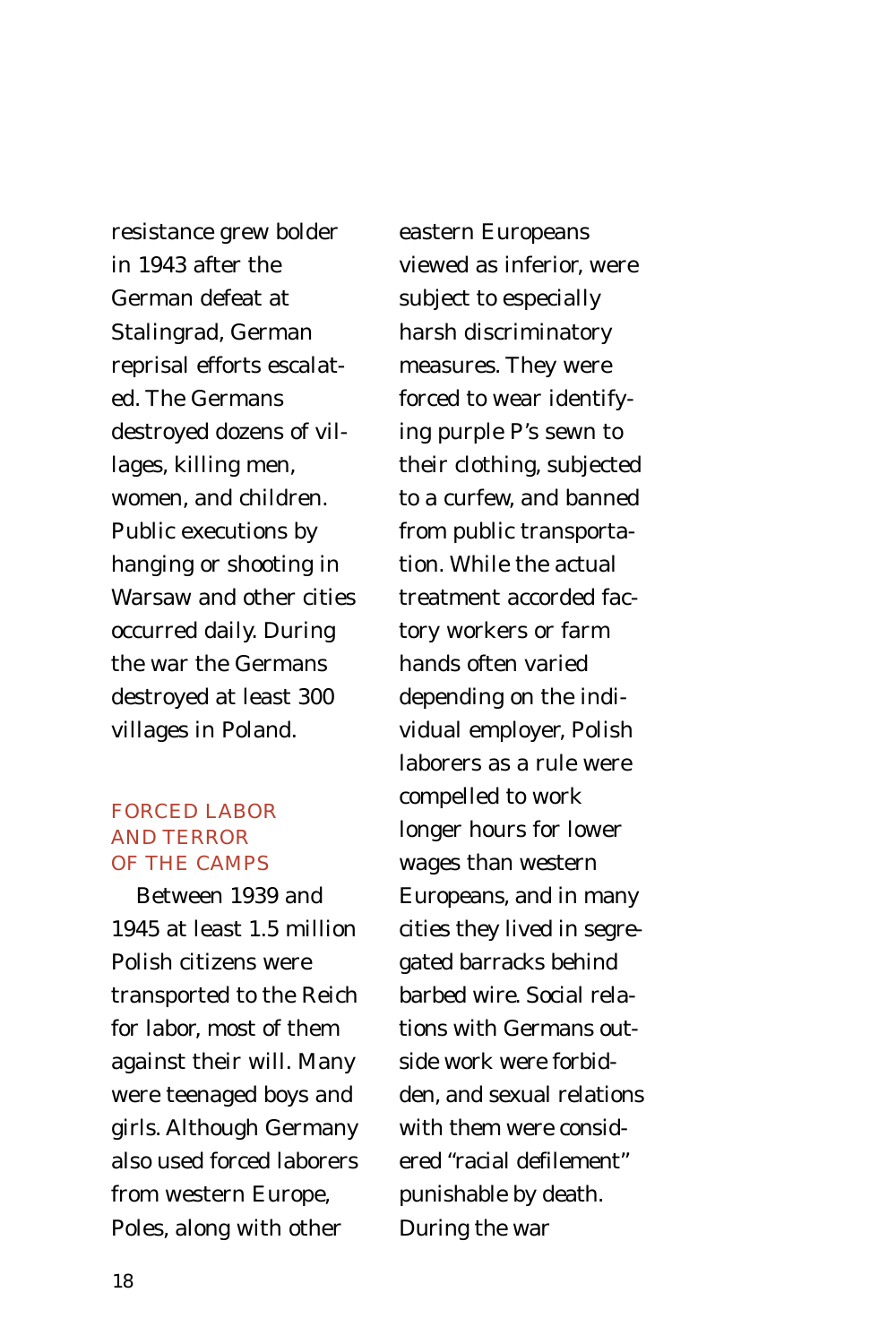resistance grew bolder in 1943 after the German defeat at Stalingrad, German reprisal efforts escalated. The Germans destroyed dozens of villages, killing men, women, and children. Public executions by hanging or shooting in Warsaw and other cities occurred daily. During the war the Germans destroyed at least 300 villages in Poland.

# FORCED LABOR AND TERROR OF THE CAMPS

Between 1939 and 1945 at least 1.5 million Polish citizens were transported to the Reich for labor, most of them against their will. Many were teenaged boys and girls. Although Germany also used forced laborers from western Europe, Poles, along with other

eastern Europeans viewed as inferior, were subject to especially harsh discriminatory measures. They were forced to wear identifying purple P's sewn to their clothing, subjected to a curfew, and banned from public transportation. While the actual treatment accorded factory workers or farm hands often varied depending on the individual employer, Polish laborers as a rule were compelled to work longer hours for lower wages than western Europeans, and in many cities they lived in segregated barracks behind barbed wire. Social relations with Germans outside work were forbidden, and sexual relations with them were considered "racial defilement" punishable by death. During the war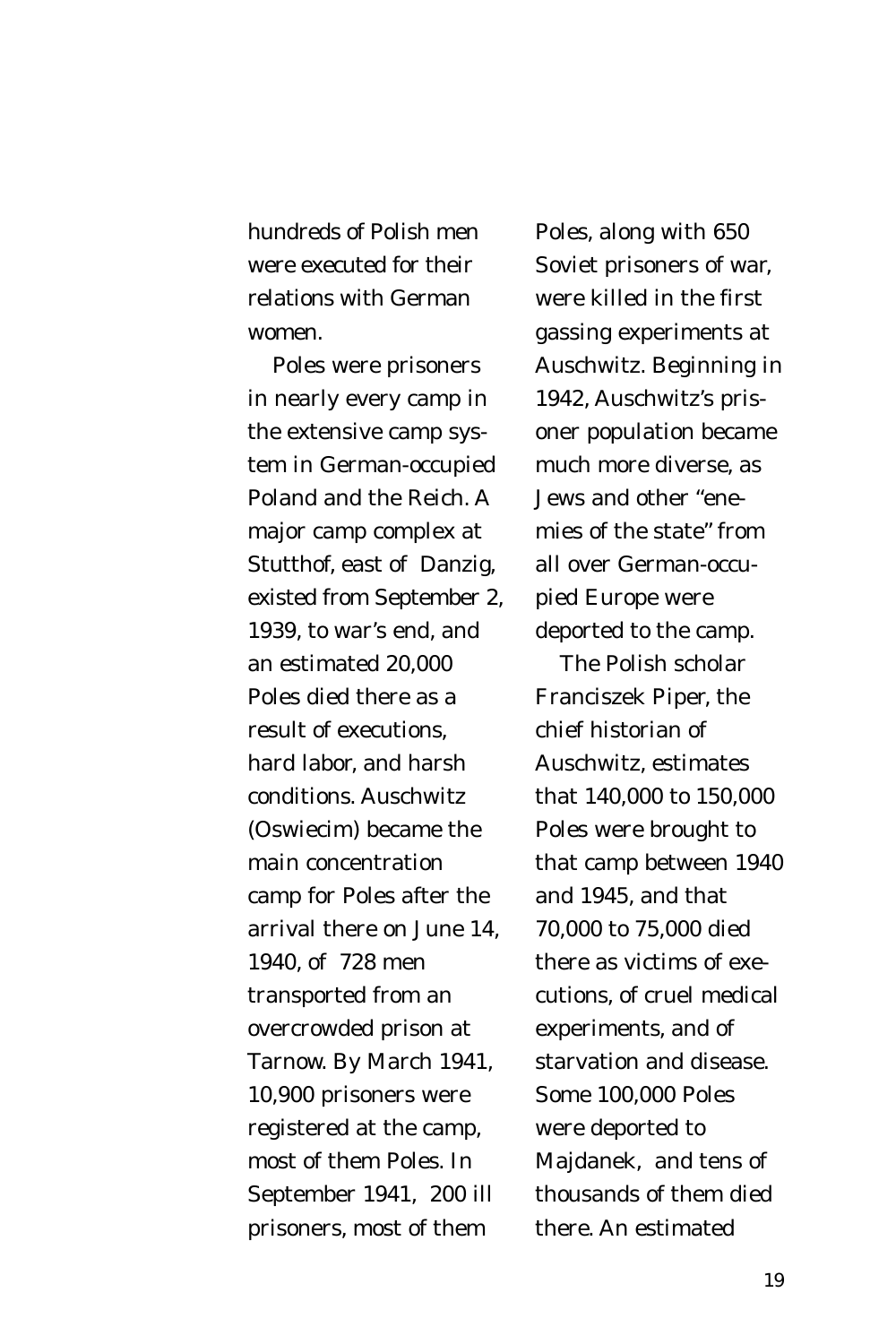hundreds of Polish men were executed for their relations with German women.

Poles were prisoners in nearly every camp in the extensive camp system in German-occupied Poland and the Reich. A major camp complex at Stutthof, east of Danzig, existed from September 2, 1939, to war's end, and an estimated 20,000 Poles died there as a result of executions, hard labor, and harsh conditions. Auschwitz (Oswiecim) became the main concentration camp for Poles after the arrival there on June 14, 1940, of 728 men transported from an overcrowded prison at Tarnow. By March 1941, 10,900 prisoners were registered at the camp, most of them Poles. In September 1941, 200 ill prisoners, most of them

Poles, along with 650 Soviet prisoners of war, were killed in the first gassing experiments at Auschwitz. Beginning in 1942, Auschwitz's prisoner population became much more diverse, as Jews and other "enemies of the state" from all over German-occupied Europe were deported to the camp.

The Polish scholar Franciszek Piper, the chief historian of Auschwitz, estimates that 140,000 to 150,000 Poles were brought to that camp between 1940 and 1945, and that 70,000 to 75,000 died there as victims of executions, of cruel medical experiments, and of starvation and disease. Some 100,000 Poles were deported to Majdanek, and tens of thousands of them died there. An estimated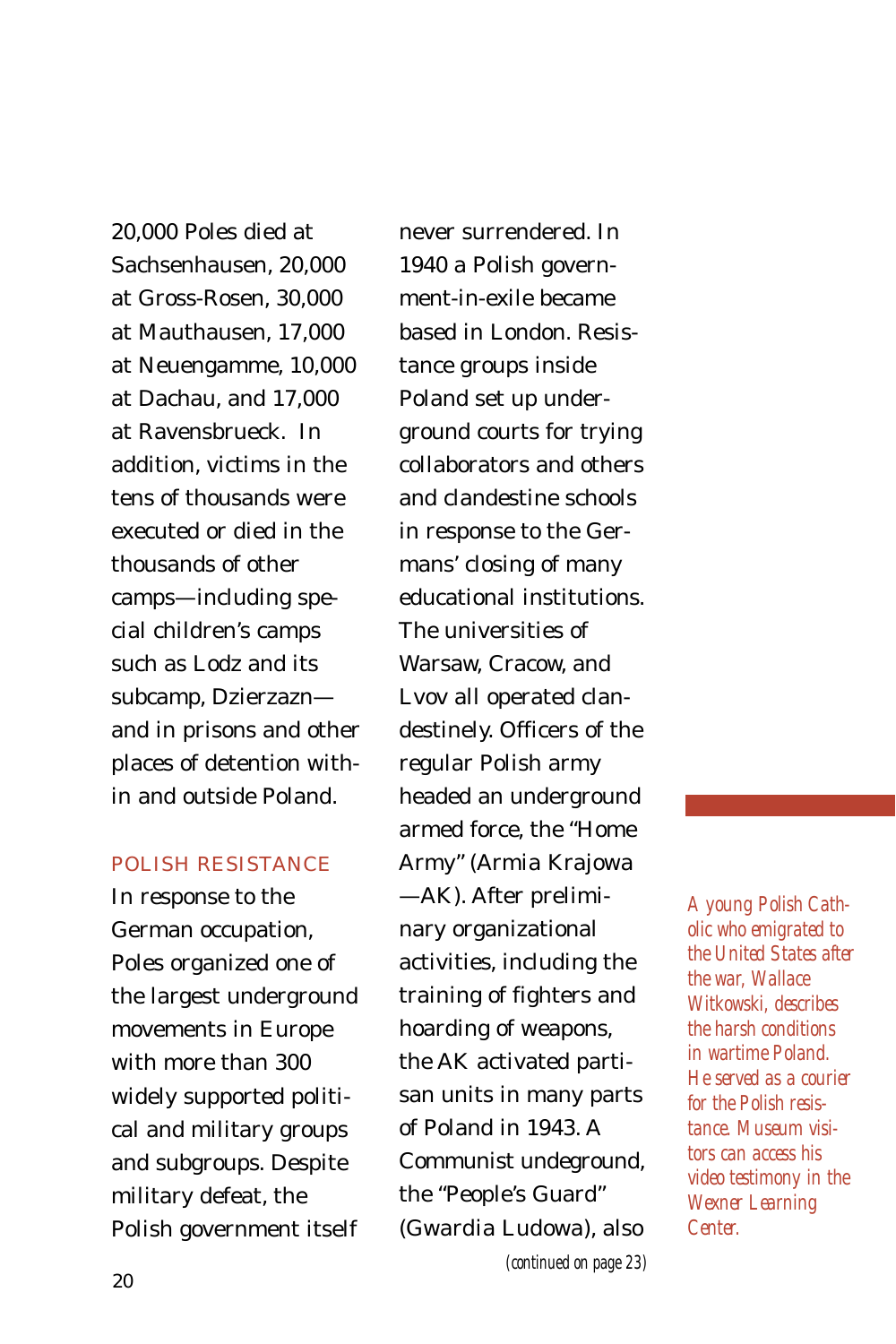20,000 Poles died at Sachsenhausen, 20,000 at Gross-Rosen, 30,000 at Mauthausen, 17,000 at Neuengamme, 10,000 at Dachau, and 17,000 at Ravensbrueck. In addition, victims in the tens of thousands were executed or died in the thousands of other camps—including special children's camps such as Lodz and its subcamp, Dzierzazn and in prisons and other places of detention within and outside Poland.

### POLISH RESISTANCE

In response to the German occupation, Poles organized one of the largest underground movements in Europe with more than 300 widely supported political and military groups and subgroups. Despite military defeat, the Polish government itself

never surrendered. In 1940 a Polish government-in-exile became based in London. Resistance groups inside Poland set up underground courts for trying collaborators and others and clandestine schools in response to the Germans' closing of many educational institutions. The universities of Warsaw, Cracow, and Lvov all operated clandestinely. Officers of the regular Polish army headed an underground armed force, the "Home Army" (*Armia Krajowa* —AK). After preliminary organizational activities, including the training of fighters and hoarding of weapons, the AK activated partisan units in many parts of Poland in 1943. A Communist undeground, the "People's Guard" (*Gwardia Ludowa*), also *(continued on page 23)*

*A young Polish Catholic who emigrated to the United States after the war, Wallace Witkowski, describes the harsh conditions in wartime Poland. He served as a courier for the Polish resistance. Museum visitors can access his video testimony in the Wexner Learning Center.*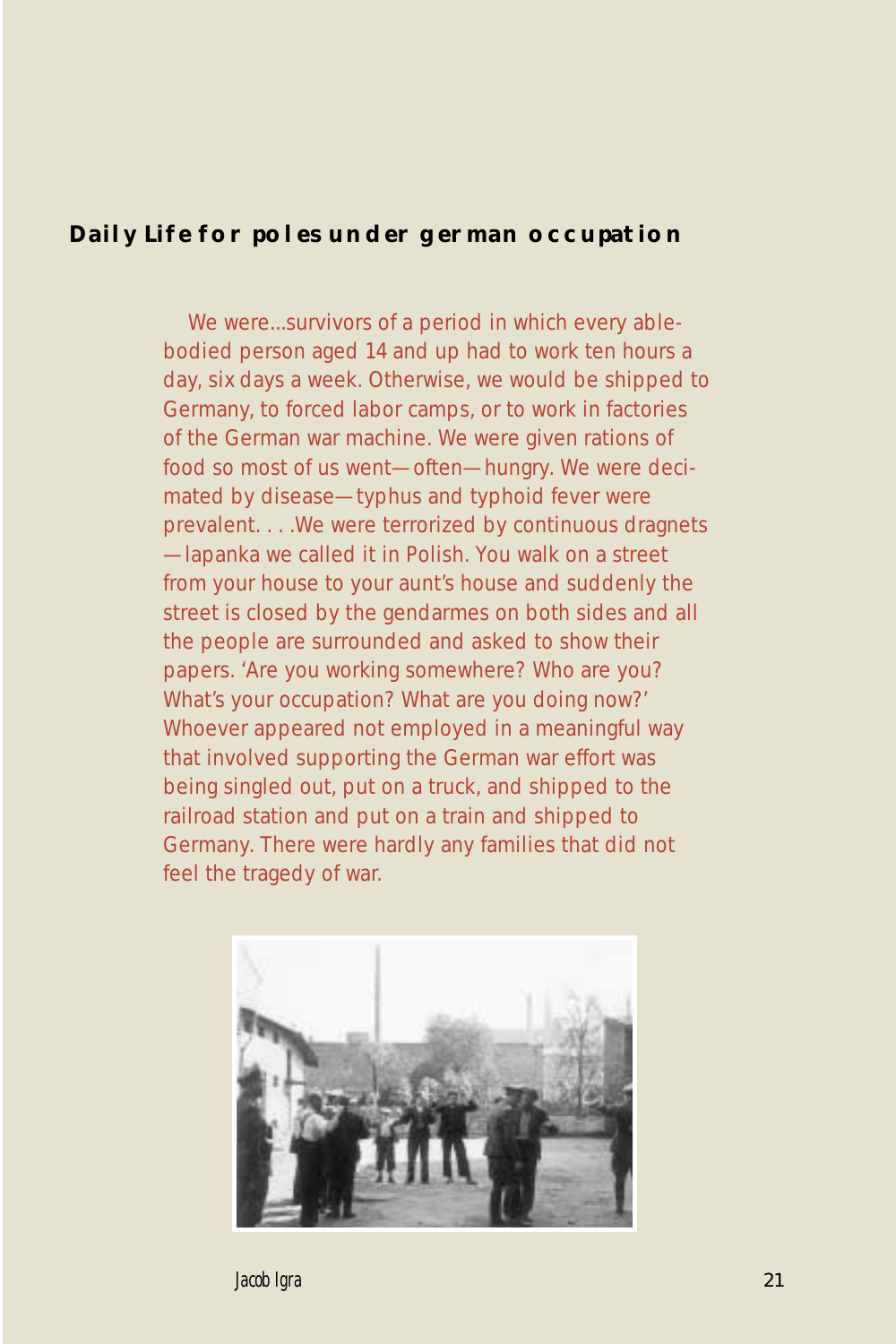# **Daily Life for poles under german occupation**

We were...survivors of a period in which every ablebodied person aged 14 and up had to work ten hours a day, six days a week. Otherwise, we would be shipped to Germany, to forced labor camps, or to work in factories of the German war machine. We were given rations of food so most of us went—often—hungry. We were decimated by disease—typhus and typhoid fever were prevalent. . . .We were terrorized by continuous dragnets —lapanka we called it in Polish. You walk on a street from your house to your aunt's house and suddenly the street is closed by the gendarmes on both sides and all the people are surrounded and asked to show their papers. 'Are you working somewhere? Who are you? What's your occupation? What are you doing now?' Whoever appeared not employed in a meaningful way that involved supporting the German war effort was being singled out, put on a truck, and shipped to the railroad station and put on a train and shipped to Germany. There were hardly any families that did not feel the tragedy of war.



*Jacob Igra*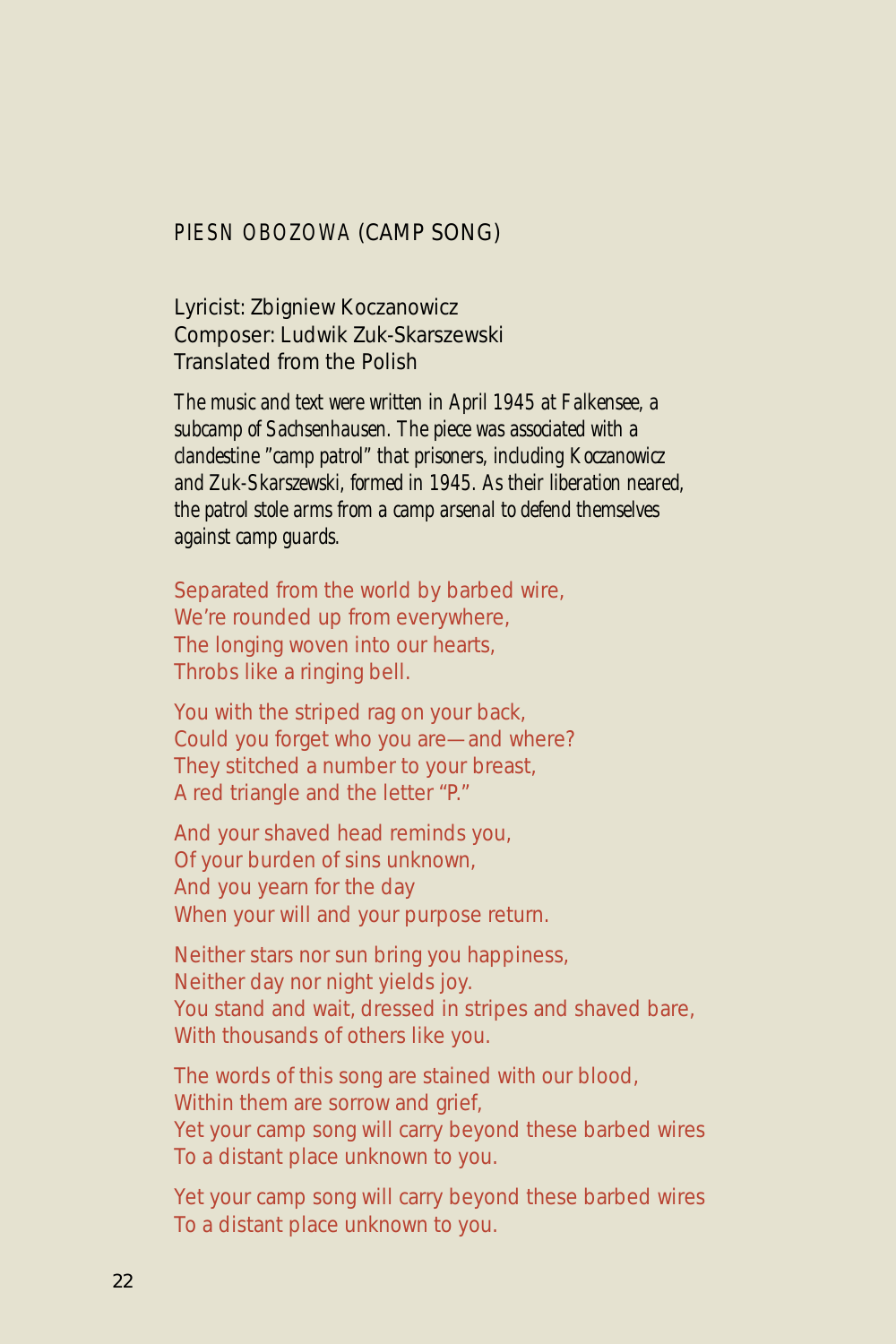### *PIESN OBOZOWA* (CAMP SONG)

Lyricist: Zbigniew Koczanowicz Composer: Ludwik Zuk-Skarszewski Translated from the Polish

*The music and text were written in April 1945 at Falkensee, a subcamp of Sachsenhausen. The piece was associated with a clandestine "camp patrol" that prisoners, including Koczanowicz and Zuk-Skarszewski, formed in 1945. As their liberation neared, the patrol stole arms from a camp arsenal to defend themselves against camp guards.*

Separated from the world by barbed wire, We're rounded up from everywhere, The longing woven into our hearts, Throbs like a ringing bell.

You with the striped rag on your back, Could you forget who you are—and where? They stitched a number to your breast, A red triangle and the letter "P."

And your shaved head reminds you, Of your burden of sins unknown, And you yearn for the day When your will and your purpose return.

Neither stars nor sun bring you happiness, Neither day nor night yields joy. You stand and wait, dressed in stripes and shaved bare, With thousands of others like you.

The words of this song are stained with our blood, Within them are sorrow and grief, Yet your camp song will carry beyond these barbed wires To a distant place unknown to you.

Yet your camp song will carry beyond these barbed wires To a distant place unknown to you.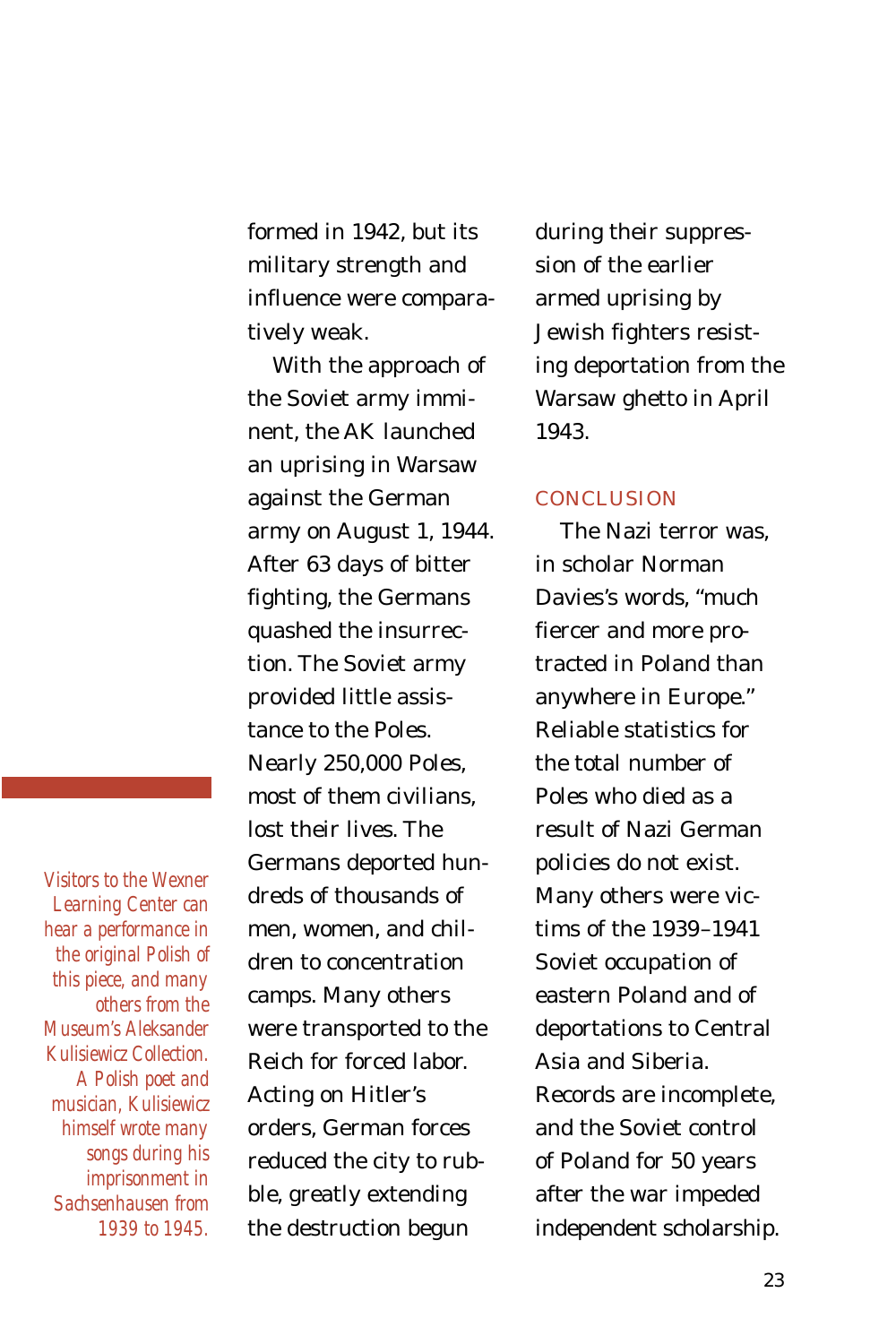formed in 1942, but its military strength and influence were comparatively weak.

With the approach of the Soviet army imminent, the AK launched an uprising in Warsaw against the German army on August 1, 1944. After 63 days of bitter fighting, the Germans quashed the insurrection. The Soviet army provided little assistance to the Poles. Nearly 250,000 Poles, most of them civilians, lost their lives. The Germans deported hundreds of thousands of men, women, and children to concentration camps. Many others were transported to the Reich for forced labor. Acting on Hitler's orders, German forces reduced the city to rubble, greatly extending the destruction begun

during their suppression of the earlier armed uprising by Jewish fighters resisting deportation from the Warsaw ghetto in April 1943.

### **CONCLUSION**

The Nazi terror was, in scholar Norman Davies's words, "much fiercer and more protracted in Poland than anywhere in Europe." Reliable statistics for the total number of Poles who died as a result of Nazi German policies do not exist. Many others were victims of the 1939–1941 Soviet occupation of eastern Poland and of deportations to Central Asia and Siberia. Records are incomplete, and the Soviet control of Poland for 50 years after the war impeded independent scholarship.

*Visitors to the Wexner Learning Center can hear a performance in the original Polish of this piece, and many others from the Museum's Aleksander Kulisiewicz Collection. A Polish poet and musician, Kulisiewicz himself wrote many songs during his imprisonment in Sachsenhausen from 1939 to 1945.*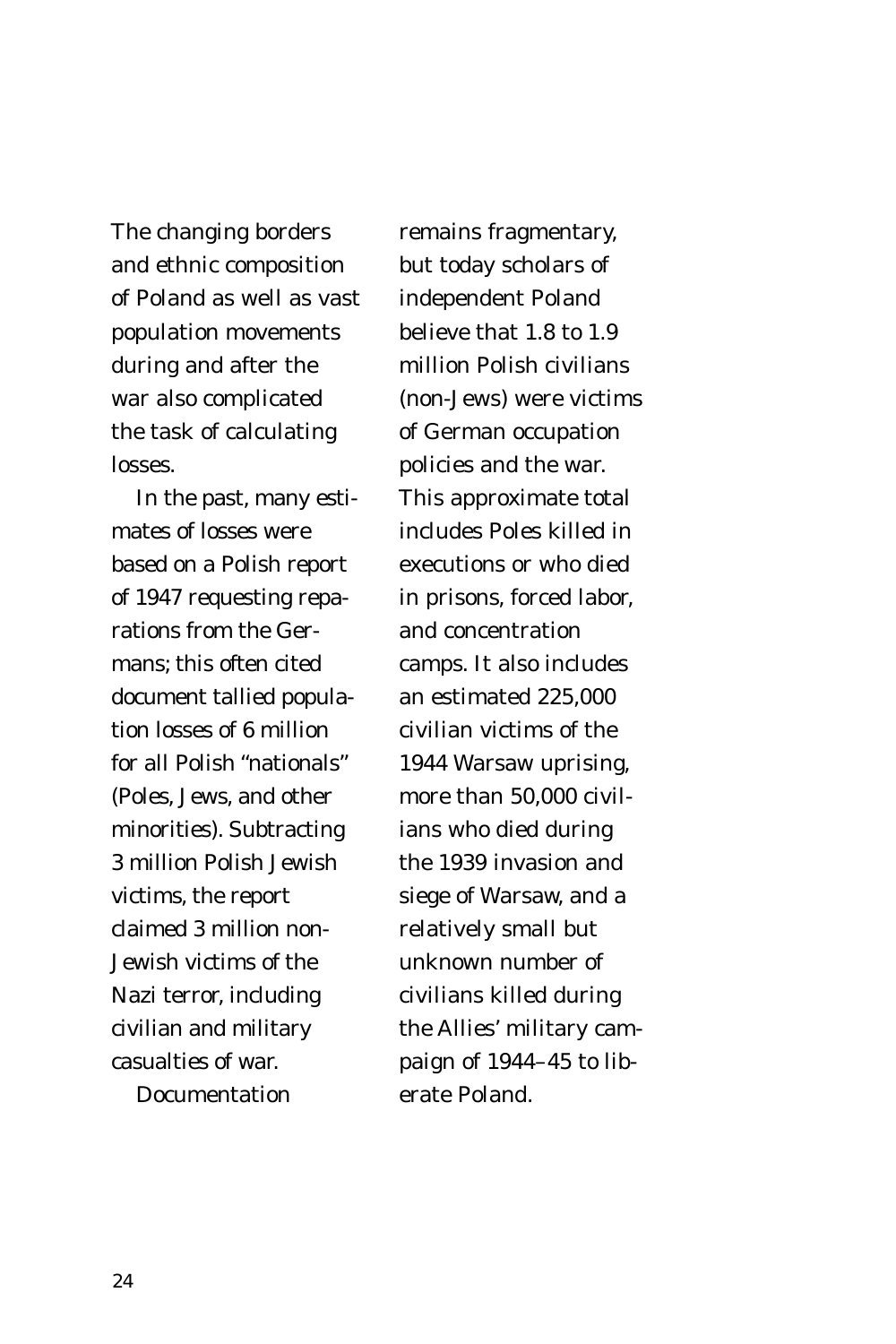The changing borders and ethnic composition of Poland as well as vast population movements during and after the war also complicated the task of calculating losses.

In the past, many estimates of losses were based on a Polish report of 1947 requesting reparations from the Germans; this often cited document tallied population losses of 6 million for all Polish "nationals" (Poles, Jews, and other minorities). Subtracting 3 million Polish Jewish victims, the report claimed 3 million non-Jewish victims of the Nazi terror, including civilian and military casualties of war.

Documentation

remains fragmentary, but today scholars of independent Poland believe that 1.8 to 1.9 million Polish civilians (non-Jews) were victims of German occupation policies and the war. This approximate total includes Poles killed in executions or who died in prisons, forced labor, and concentration camps. It also includes an estimated 225,000 civilian victims of the 1944 Warsaw uprising, more than 50,000 civilians who died during the 1939 invasion and siege of Warsaw, and a relatively small but unknown number of civilians killed during the Allies' military campaign of 1944–45 to liberate Poland.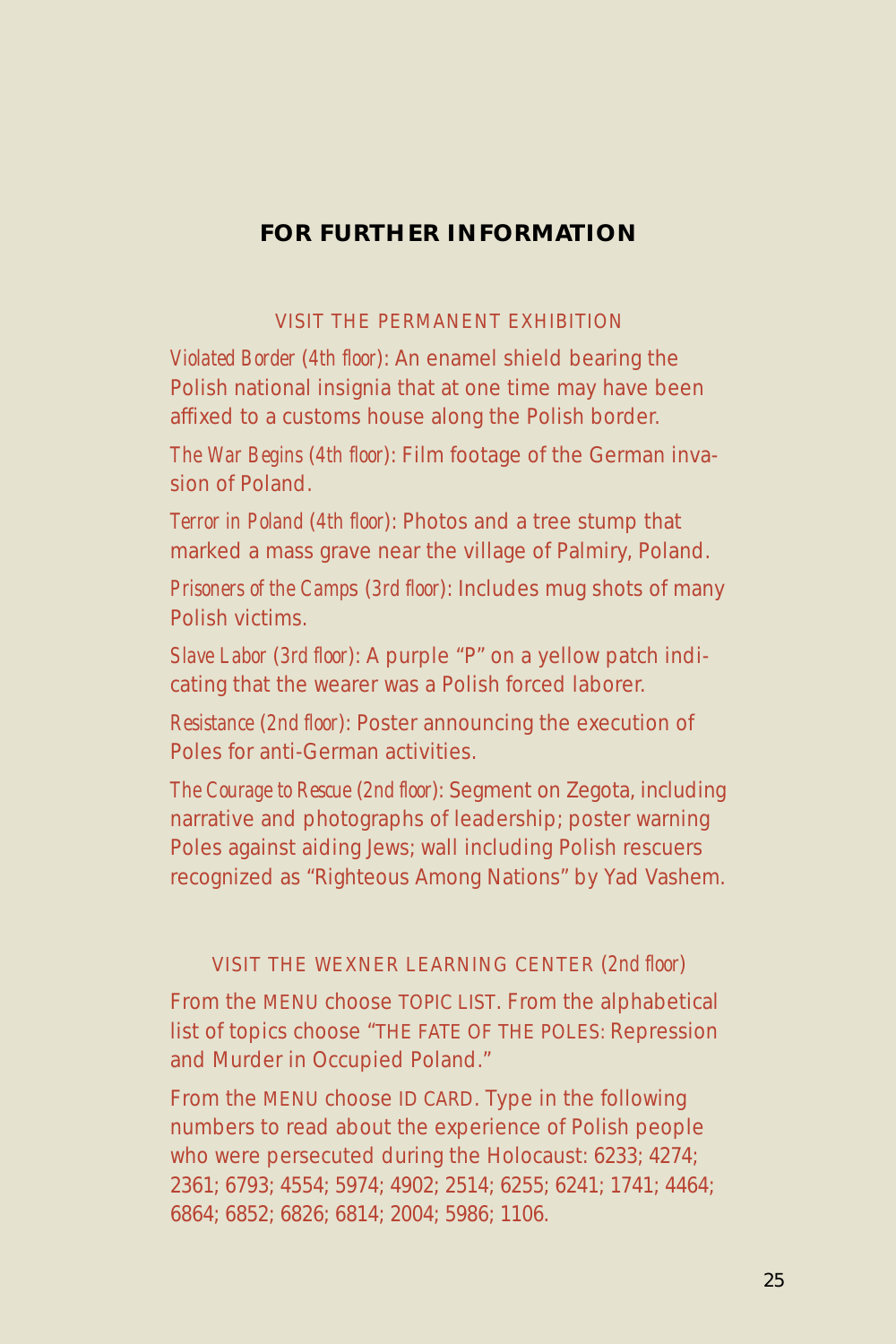# **FOR FURTHER INFORMATION**

### VISIT THE PERMANENT EXHIBITION

*Violated Border* (*4th floor*): An enamel shield bearing the Polish national insignia that at one time may have been affixed to a customs house along the Polish border.

*The War Begins* (*4th floor*): Film footage of the German invasion of Poland.

*Terror in Poland* (*4th floor*): Photos and a tree stump that marked a mass grave near the village of Palmiry, Poland.

*Prisoners of the Camp*s (*3rd floor*): Includes mug shots of many Polish victims.

*Slave Labor* (*3rd floor*): A purple "P" on a yellow patch indicating that the wearer was a Polish forced laborer.

*Resistance* (*2nd floor*): Poster announcing the execution of Poles for anti-German activities.

*The Courage to Rescue* (*2nd floor*): Segment on Zegota, including narrative and photographs of leadership; poster warning Poles against aiding Jews; wall including Polish rescuers recognized as "Righteous Among Nations" by Yad Vashem.

### VISIT THE WEXNER LEARNING CENTER (*2nd floor*)

From the MENU choose TOPIC LIST. From the alphabetical list of topics choose "THE FATE OF THE POLES: Repression and Murder in Occupied Poland."

From the MENU choose ID CARD. Type in the following numbers to read about the experience of Polish people who were persecuted during the Holocaust: 6233; 4274; 2361; 6793; 4554; 5974; 4902; 2514; 6255; 6241; 1741; 4464; 6864; 6852; 6826; 6814; 2004; 5986; 1106.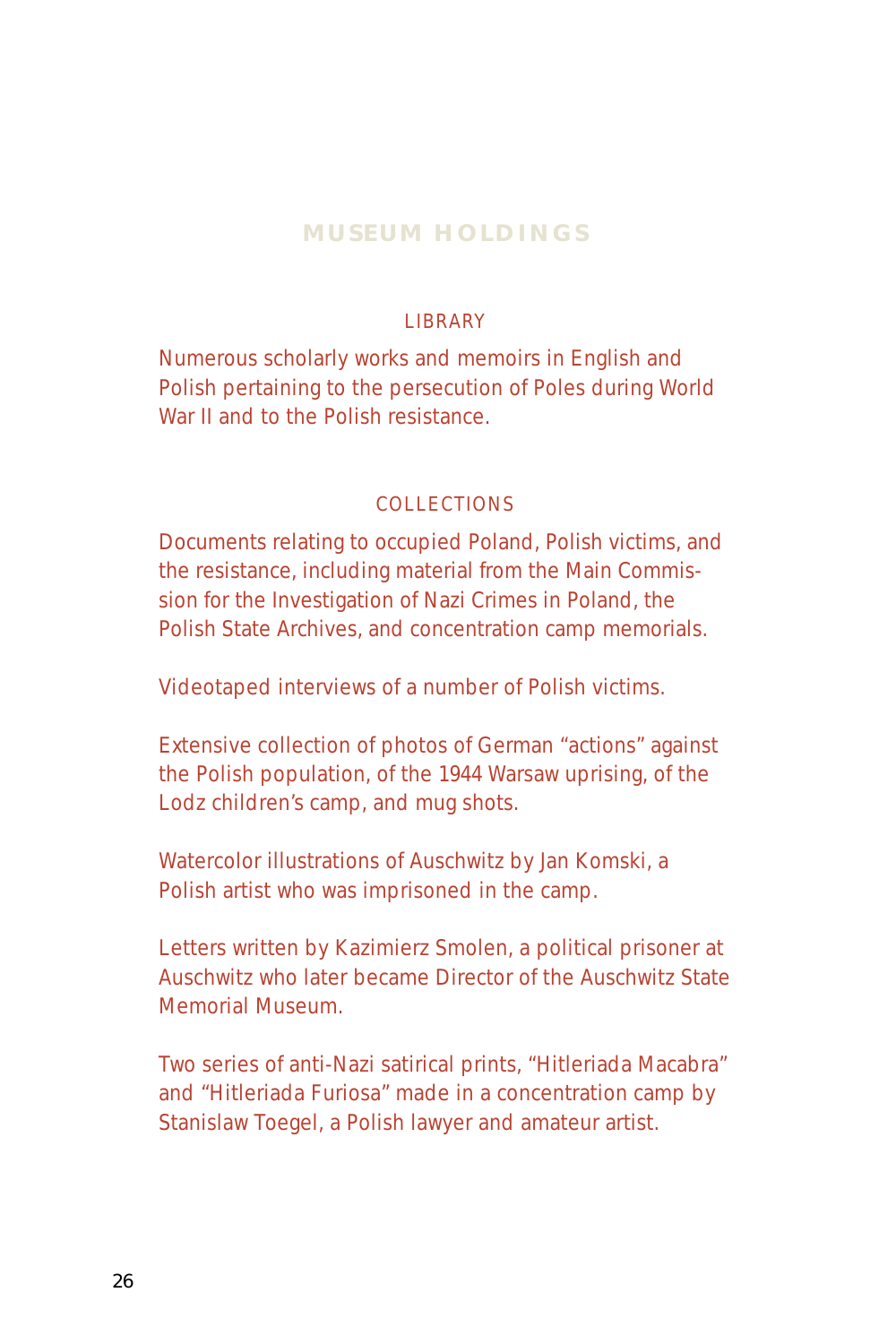# **MUSEUM HOLDINGS**

### **LIBRARY**

Numerous scholarly works and memoirs in English and Polish pertaining to the persecution of Poles during World War II and to the Polish resistance.

# **COLLECTIONS**

Documents relating to occupied Poland, Polish victims, and the resistance, including material from the Main Commission for the Investigation of Nazi Crimes in Poland, the Polish State Archives, and concentration camp memorials.

Videotaped interviews of a number of Polish victims.

Extensive collection of photos of German "actions" against the Polish population, of the 1944 Warsaw uprising, of the Lodz children's camp, and mug shots.

Watercolor illustrations of Auschwitz by Jan Komski, a Polish artist who was imprisoned in the camp.

Letters written by Kazimierz Smolen, a political prisoner at Auschwitz who later became Director of the Auschwitz State Memorial Museum.

Two series of anti-Nazi satirical prints, "Hitleriada Macabra" and "Hitleriada Furiosa" made in a concentration camp by Stanislaw Toegel, a Polish lawyer and amateur artist.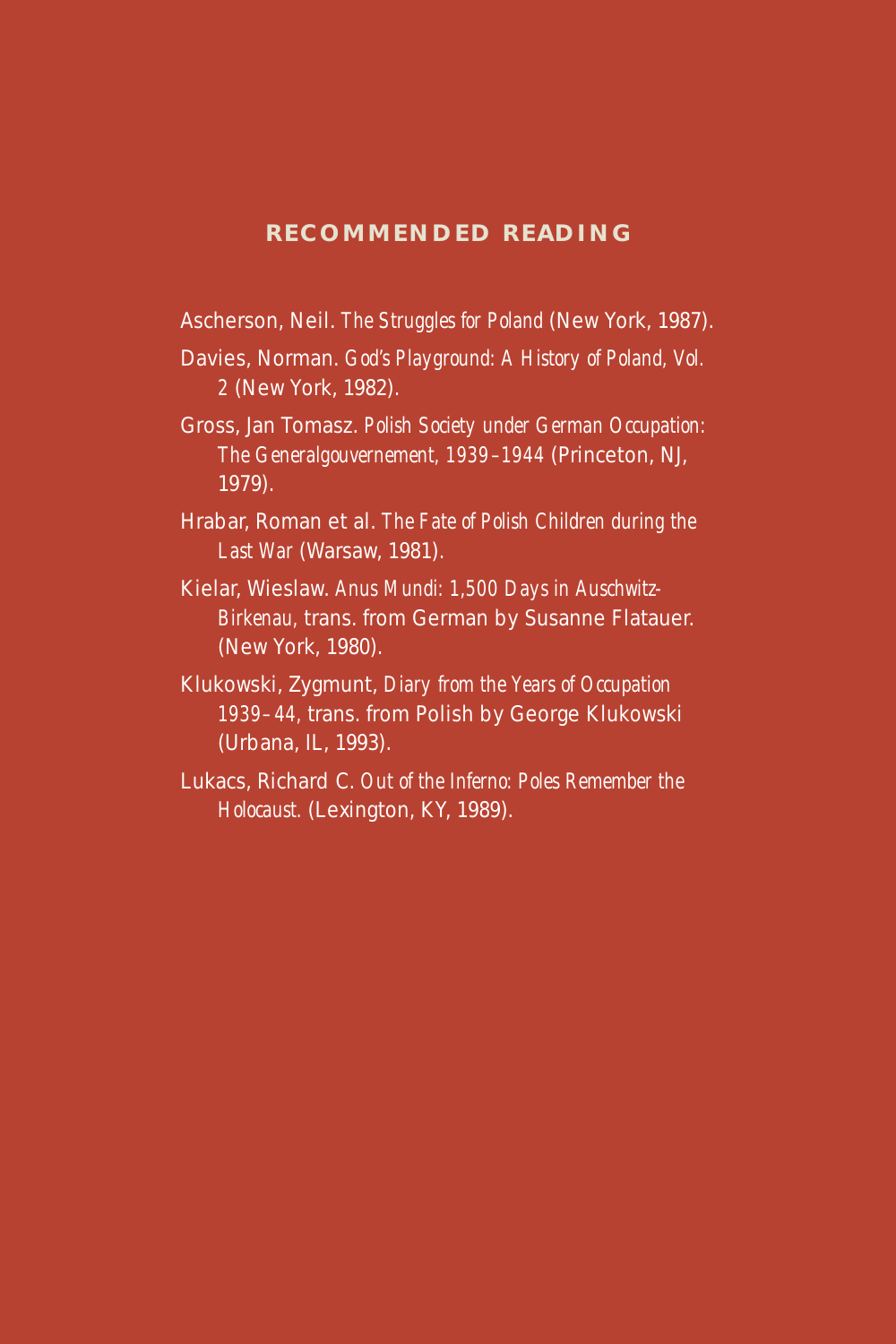### **RECOMMENDED READING**

Ascherson, Neil. *The Struggles for Poland* (New York, 1987).

- Davies, Norman. *God's Playground: A History of Poland, Vol. 2* (New York, 1982).
- Gross, Jan Tomasz. *Polish Society under German Occupation: The Generalgouvernement, 1939–1944* (Princeton, NJ, 1979).
- Hrabar, Roman et al. *The Fate of Polish Children during the Last War* (Warsaw, 1981).
- Kielar, Wieslaw. *Anus Mundi: 1,500 Days in Auschwitz-Birkenau,* trans. from German by Susanne Flatauer. (New York, 1980).
- Klukowski, Zygmunt, *Diary from the Years of Occupation 1939–44,* trans. from Polish by George Klukowski (Urbana, IL, 1993).
- Lukacs, Richard C. *Out of the Inferno: Poles Remember the Holocaust.* (Lexington, KY, 1989).